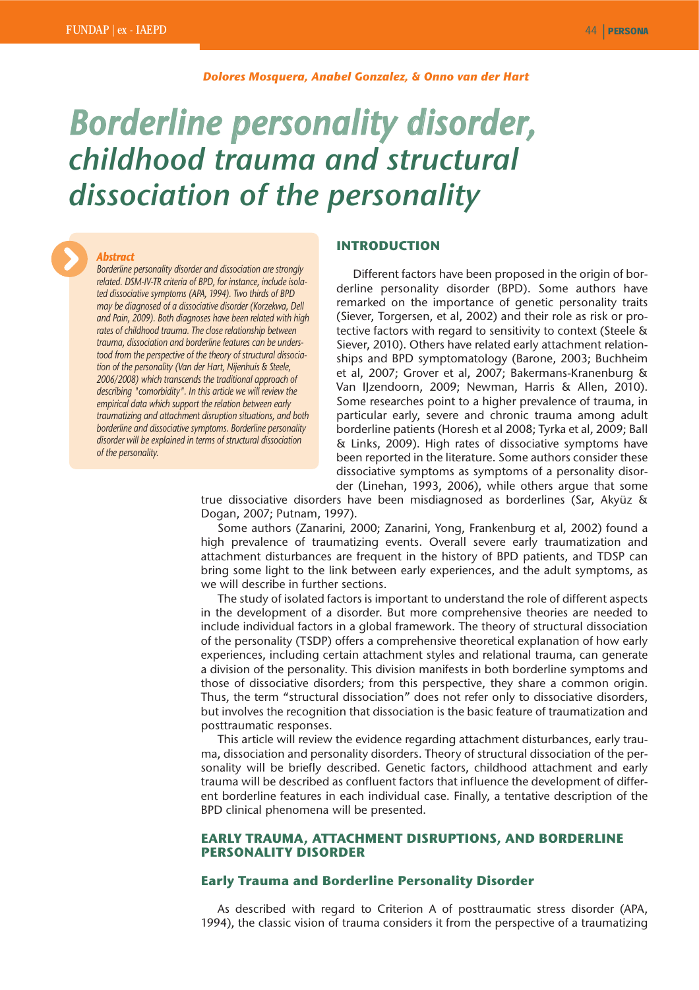#### *Dolores Mosquera, Anabel Gonzalez, & Onno van der Hart*

# *Borderline personality disorder, childhood trauma and structural dissociation of the personality*

# *Abstract*

*Borderline personality disorder and dissociation are strongly related. DSM-IV-TR criteria of BPD, for instance, include isolated dissociative symptoms (APA, 1994). Two thirds of BPD may be diagnosed of a dissociative disorder (Korzekwa, Dell and Pain, 2009). Both diagnoses have been related with high rates of childhood trauma. The close relationship between trauma, dissociation and borderline features can be understood from the perspective of the theory of structural dissociation of the personality (Van der Hart, Nijenhuis & Steele, 2006/2008) which transcends the traditional approach of describing "comorbidity". In this article we will review the empirical data which support the relation between early traumatizing and attachment disruption situations, and both borderline and dissociative symptoms. Borderline personality disorder will be explained in terms of structural dissociation of the personality.*

## **INTRODUCTION**

Different factors have been proposed in the origin of borderline personality disorder (BPD). Some authors have remarked on the importance of genetic personality traits (Siever, Torgersen, et al, 2002) and their role as risk or protective factors with regard to sensitivity to context (Steele & Siever, 2010). Others have related early attachment relationships and BPD symptomatology (Barone, 2003; Buchheim et al, 2007; Grover et al, 2007; Bakermans-Kranenburg & Van IJzendoorn, 2009; Newman, Harris & Allen, 2010). Some researches point to a higher prevalence of trauma, in particular early, severe and chronic trauma among adult borderline patients (Horesh et al 2008; Tyrka et al, 2009; Ball & Links, 2009). High rates of dissociative symptoms have been reported in the literature. Some authors consider these dissociative symptoms as symptoms of a personality disorder (Linehan, 1993, 2006), while others argue that some

true dissociative disorders have been misdiagnosed as borderlines (Sar, Akyüz & Dogan, 2007; Putnam, 1997).

Some authors (Zanarini, 2000; Zanarini, Yong, Frankenburg et al, 2002) found a high prevalence of traumatizing events. Overall severe early traumatization and attachment disturbances are frequent in the history of BPD patients, and TDSP can bring some light to the link between early experiences, and the adult symptoms, as we will describe in further sections.

The study of isolated factors is important to understand the role of different aspects in the development of a disorder. But more comprehensive theories are needed to include individual factors in a global framework. The theory of structural dissociation of the personality (TSDP) offers a comprehensive theoretical explanation of how early experiences, including certain attachment styles and relational trauma, can generate a division of the personality. This division manifests in both borderline symptoms and those of dissociative disorders; from this perspective, they share a common origin. Thus, the term "structural dissociation" does not refer only to dissociative disorders, but involves the recognition that dissociation is the basic feature of traumatization and posttraumatic responses.

This article will review the evidence regarding attachment disturbances, early trauma, dissociation and personality disorders. Theory of structural dissociation of the personality will be briefly described. Genetic factors, childhood attachment and early trauma will be described as confluent factors that influence the development of different borderline features in each individual case. Finally, a tentative description of the BPD clinical phenomena will be presented.

# **EARLY TRAUMA, ATTACHMENT DISRUPTIONS, AND BORDERLINE PERSONALITY DISORDER**

## **Early Trauma and Borderline Personality Disorder**

As described with regard to Criterion A of posttraumatic stress disorder (APA, 1994), the classic vision of trauma considers it from the perspective of a traumatizing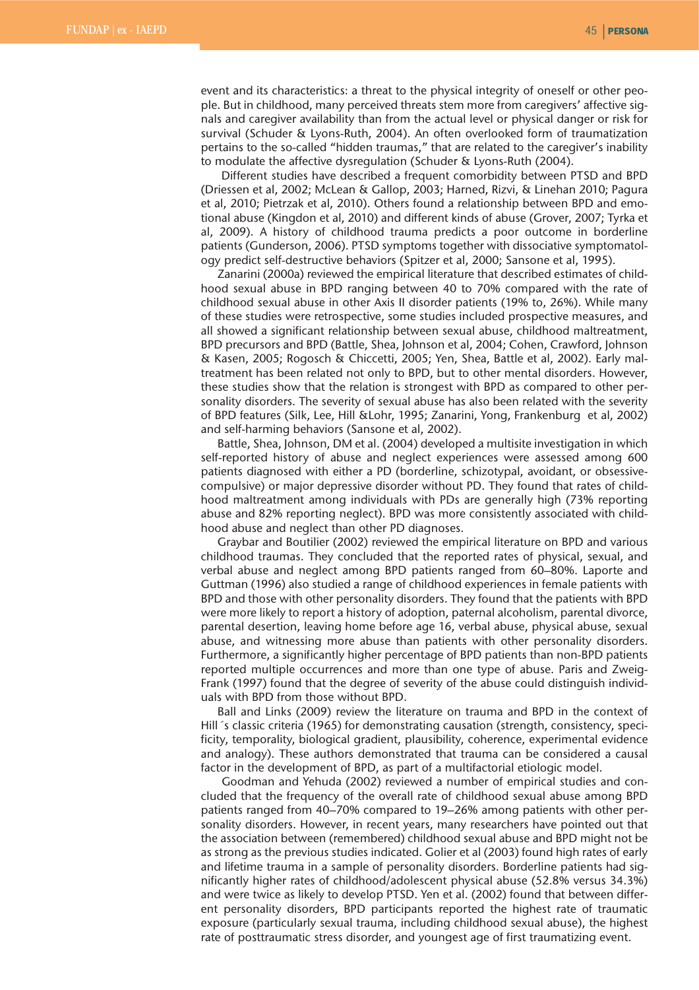event and its characteristics: a threat to the physical integrity of oneself or other people. But in childhood, many perceived threats stem more from caregivers' affective signals and caregiver availability than from the actual level or physical danger or risk for survival (Schuder & Lyons-Ruth, 2004). An often overlooked form of traumatization pertains to the so-called "hidden traumas," that are related to the caregiver's inability to modulate the affective dysregulation (Schuder & Lyons-Ruth (2004).

Different studies have described a frequent comorbidity between PTSD and BPD (Driessen et al, 2002; McLean & Gallop, 2003; Harned, Rizvi, & Linehan 2010; Pagura et al, 2010; Pietrzak et al, 2010). Others found a relationship between BPD and emotional abuse (Kingdon et al, 2010) and different kinds of abuse (Grover, 2007; Tyrka et al, 2009). A history of childhood trauma predicts a poor outcome in borderline patients (Gunderson, 2006). PTSD symptoms together with dissociative symptomatology predict self-destructive behaviors (Spitzer et al, 2000; Sansone et al, 1995).

Zanarini (2000a) reviewed the empirical literature that described estimates of childhood sexual abuse in BPD ranging between 40 to 70% compared with the rate of childhood sexual abuse in other Axis II disorder patients (19% to, 26%). While many of these studies were retrospective, some studies included prospective measures, and all showed a significant relationship between sexual abuse, childhood maltreatment, BPD precursors and BPD (Battle, Shea, Johnson et al, 2004; Cohen, Crawford, Johnson & Kasen, 2005; Rogosch & Chiccetti, 2005; Yen, Shea, Battle et al, 2002). Early maltreatment has been related not only to BPD, but to other mental disorders. However, these studies show that the relation is strongest with BPD as compared to other personality disorders. The severity of sexual abuse has also been related with the severity of BPD features (Silk, Lee, Hill &Lohr, 1995; Zanarini, Yong, Frankenburg et al, 2002) and self-harming behaviors (Sansone et al, 2002).

Battle, Shea, Johnson, DM et al. (2004) developed a multisite investigation in which self-reported history of abuse and neglect experiences were assessed among 600 patients diagnosed with either a PD (borderline, schizotypal, avoidant, or obsessivecompulsive) or major depressive disorder without PD. They found that rates of childhood maltreatment among individuals with PDs are generally high (73% reporting abuse and 82% reporting neglect). BPD was more consistently associated with childhood abuse and neglect than other PD diagnoses.

Graybar and Boutilier (2002) reviewed the empirical literature on BPD and various childhood traumas. They concluded that the reported rates of physical, sexual, and verbal abuse and neglect among BPD patients ranged from 60–80%. Laporte and Guttman (1996) also studied a range of childhood experiences in female patients with BPD and those with other personality disorders. They found that the patients with BPD were more likely to report a history of adoption, paternal alcoholism, parental divorce, parental desertion, leaving home before age 16, verbal abuse, physical abuse, sexual abuse, and witnessing more abuse than patients with other personality disorders. Furthermore, a significantly higher percentage of BPD patients than non-BPD patients reported multiple occurrences and more than one type of abuse. Paris and Zweig-Frank (1997) found that the degree of severity of the abuse could distinguish individuals with BPD from those without BPD.

Ball and Links (2009) review the literature on trauma and BPD in the context of Hill´s classic criteria (1965) for demonstrating causation (strength, consistency, specificity, temporality, biological gradient, plausibility, coherence, experimental evidence and analogy). These authors demonstrated that trauma can be considered a causal factor in the development of BPD, as part of a multifactorial etiologic model.

Goodman and Yehuda (2002) reviewed a number of empirical studies and concluded that the frequency of the overall rate of childhood sexual abuse among BPD patients ranged from 40–70% compared to 19–26% among patients with other personality disorders. However, in recent years, many researchers have pointed out that the association between (remembered) childhood sexual abuse and BPD might not be as strong as the previous studies indicated. Golier et al (2003) found high rates of early and lifetime trauma in a sample of personality disorders. Borderline patients had significantly higher rates of childhood/adolescent physical abuse (52.8% versus 34.3%) and were twice as likely to develop PTSD. Yen et al. (2002) found that between different personality disorders, BPD participants reported the highest rate of traumatic exposure (particularly sexual trauma, including childhood sexual abuse), the highest rate of posttraumatic stress disorder, and youngest age of first traumatizing event.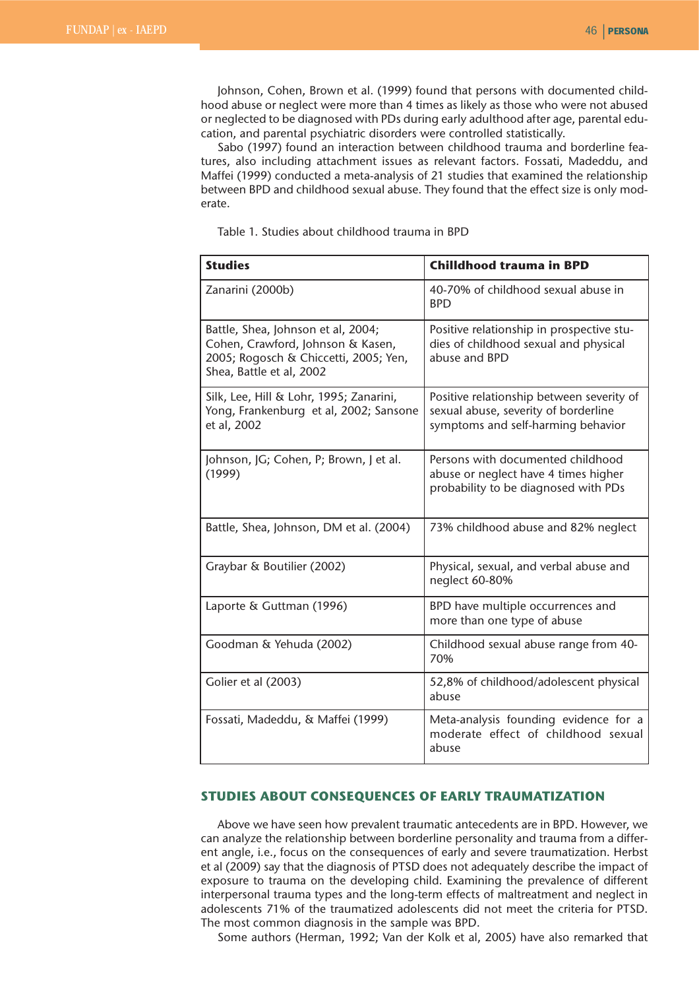Johnson, Cohen, Brown et al. (1999) found that persons with documented childhood abuse or neglect were more than 4 times as likely as those who were not abused or neglected to be diagnosed with PDs during early adulthood after age, parental education, and parental psychiatric disorders were controlled statistically.

Sabo (1997) found an interaction between childhood trauma and borderline features, also including attachment issues as relevant factors. Fossati, Madeddu, and Maffei (1999) conducted a meta-analysis of 21 studies that examined the relationship between BPD and childhood sexual abuse. They found that the effect size is only moderate.

Table 1. Studies about childhood trauma in BPD

| <b>Studies</b>                                                                                                                               | <b>Chilldhood trauma in BPD</b>                                                                                         |
|----------------------------------------------------------------------------------------------------------------------------------------------|-------------------------------------------------------------------------------------------------------------------------|
| Zanarini (2000b)                                                                                                                             | 40-70% of childhood sexual abuse in<br><b>BPD</b>                                                                       |
| Battle, Shea, Johnson et al, 2004;<br>Cohen, Crawford, Johnson & Kasen,<br>2005; Rogosch & Chiccetti, 2005; Yen,<br>Shea, Battle et al, 2002 | Positive relationship in prospective stu-<br>dies of childhood sexual and physical<br>abuse and BPD                     |
| Silk, Lee, Hill & Lohr, 1995; Zanarini,<br>Yong, Frankenburg et al, 2002; Sansone<br>et al, 2002                                             | Positive relationship between severity of<br>sexual abuse, severity of borderline<br>symptoms and self-harming behavior |
| Johnson, JG; Cohen, P; Brown, J et al.<br>(1999)                                                                                             | Persons with documented childhood<br>abuse or neglect have 4 times higher<br>probability to be diagnosed with PDs       |
| Battle, Shea, Johnson, DM et al. (2004)                                                                                                      | 73% childhood abuse and 82% neglect                                                                                     |
| Graybar & Boutilier (2002)                                                                                                                   | Physical, sexual, and verbal abuse and<br>neglect 60-80%                                                                |
| Laporte & Guttman (1996)                                                                                                                     | BPD have multiple occurrences and<br>more than one type of abuse                                                        |
| Goodman & Yehuda (2002)                                                                                                                      | Childhood sexual abuse range from 40-<br>70%                                                                            |
| Golier et al (2003)                                                                                                                          | 52,8% of childhood/adolescent physical<br>abuse                                                                         |
| Fossati, Madeddu, & Maffei (1999)                                                                                                            | Meta-analysis founding evidence for a<br>moderate effect of childhood sexual<br>abuse                                   |

# **STUDIES ABOUT CONSEQUENCES OF EARLY TRAUMATIZATION**

Above we have seen how prevalent traumatic antecedents are in BPD. However, we can analyze the relationship between borderline personality and trauma from a different angle, i.e., focus on the consequences of early and severe traumatization. Herbst et al (2009) say that the diagnosis of PTSD does not adequately describe the impact of exposure to trauma on the developing child. Examining the prevalence of different interpersonal trauma types and the long-term effects of maltreatment and neglect in adolescents 71% of the traumatized adolescents did not meet the criteria for PTSD. The most common diagnosis in the sample was BPD.

Some authors (Herman, 1992; Van der Kolk et al, 2005) have also remarked that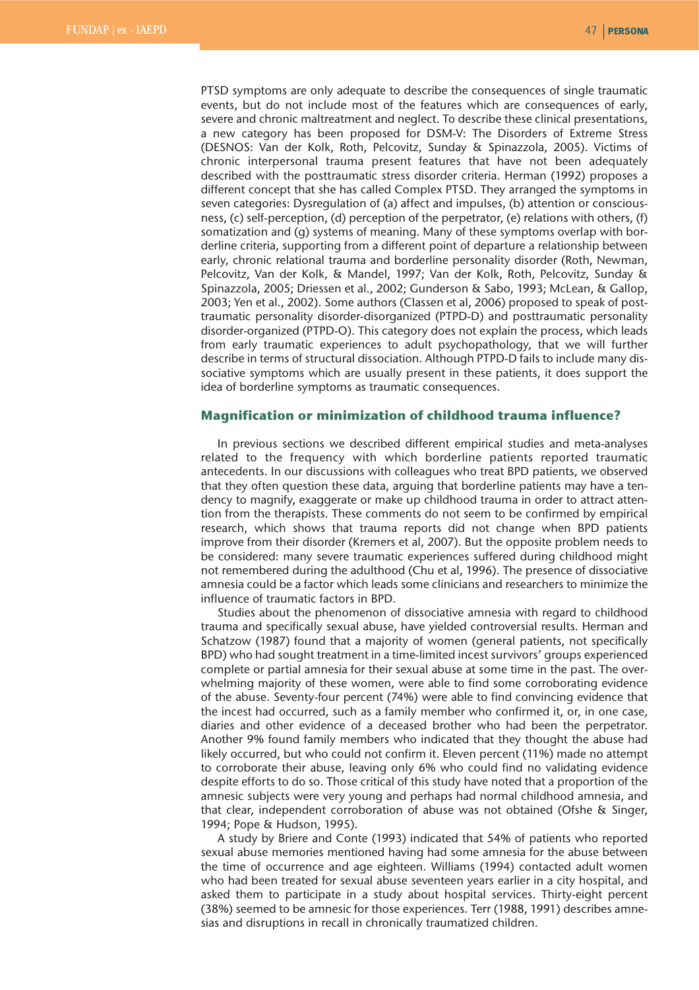PTSD symptoms are only adequate to describe the consequences of single traumatic events, but do not include most of the features which are consequences of early, severe and chronic maltreatment and neglect. To describe these clinical presentations, a new category has been proposed for DSM-V: The Disorders of Extreme Stress (DESNOS: Van der Kolk, Roth, Pelcovitz, Sunday & Spinazzola, 2005). Victims of chronic interpersonal trauma present features that have not been adequately described with the posttraumatic stress disorder criteria. Herman (1992) proposes a different concept that she has called Complex PTSD. They arranged the symptoms in seven categories: Dysregulation of (a) affect and impulses, (b) attention or consciousness, (c) self-perception, (d) perception of the perpetrator, (e) relations with others, (f) somatization and (g) systems of meaning. Many of these symptoms overlap with borderline criteria, supporting from a different point of departure a relationship between early, chronic relational trauma and borderline personality disorder (Roth, Newman, Pelcovitz, Van der Kolk, & Mandel, 1997; Van der Kolk, Roth, Pelcovitz, Sunday & Spinazzola, 2005; Driessen et al., 2002; Gunderson & Sabo, 1993; McLean, & Gallop, 2003; Yen et al., 2002). Some authors (Classen et al, 2006) proposed to speak of posttraumatic personality disorder-disorganized (PTPD-D) and posttraumatic personality disorder-organized (PTPD-O). This category does not explain the process, which leads from early traumatic experiences to adult psychopathology, that we will further describe in terms of structural dissociation. Although PTPD-D fails to include many dissociative symptoms which are usually present in these patients, it does support the idea of borderline symptoms as traumatic consequences.

# **Magnification or minimization of childhood trauma influence?**

In previous sections we described different empirical studies and meta-analyses related to the frequency with which borderline patients reported traumatic antecedents. In our discussions with colleagues who treat BPD patients, we observed that they often question these data, arguing that borderline patients may have a tendency to magnify, exaggerate or make up childhood trauma in order to attract attention from the therapists. These comments do not seem to be confirmed by empirical research, which shows that trauma reports did not change when BPD patients improve from their disorder (Kremers et al, 2007). But the opposite problem needs to be considered: many severe traumatic experiences suffered during childhood might not remembered during the adulthood (Chu et al, 1996). The presence of dissociative amnesia could be a factor which leads some clinicians and researchers to minimize the influence of traumatic factors in BPD.

Studies about the phenomenon of dissociative amnesia with regard to childhood trauma and specifically sexual abuse, have yielded controversial results. Herman and Schatzow (1987) found that a majority of women (general patients, not specifically BPD) who had sought treatment in a time-limited incest survivors' groups experienced complete or partial amnesia for their sexual abuse at some time in the past. The overwhelming majority of these women, were able to find some corroborating evidence of the abuse. Seventy-four percent (74%) were able to find convincing evidence that the incest had occurred, such as a family member who confirmed it, or, in one case, diaries and other evidence of a deceased brother who had been the perpetrator. Another 9% found family members who indicated that they thought the abuse had likely occurred, but who could not confirm it. Eleven percent (11%) made no attempt to corroborate their abuse, leaving only 6% who could find no validating evidence despite efforts to do so. Those critical of this study have noted that a proportion of the amnesic subjects were very young and perhaps had normal childhood amnesia, and that clear, independent corroboration of abuse was not obtained (Ofshe & Singer, 1994; Pope & Hudson, 1995).

A study by Briere and Conte (1993) indicated that 54% of patients who reported sexual abuse memories mentioned having had some amnesia for the abuse between the time of occurrence and age eighteen. Williams (1994) contacted adult women who had been treated for sexual abuse seventeen years earlier in a city hospital, and asked them to participate in a study about hospital services. Thirty-eight percent (38%) seemed to be amnesic for those experiences. Terr (1988, 1991) describes amnesias and disruptions in recall in chronically traumatized children.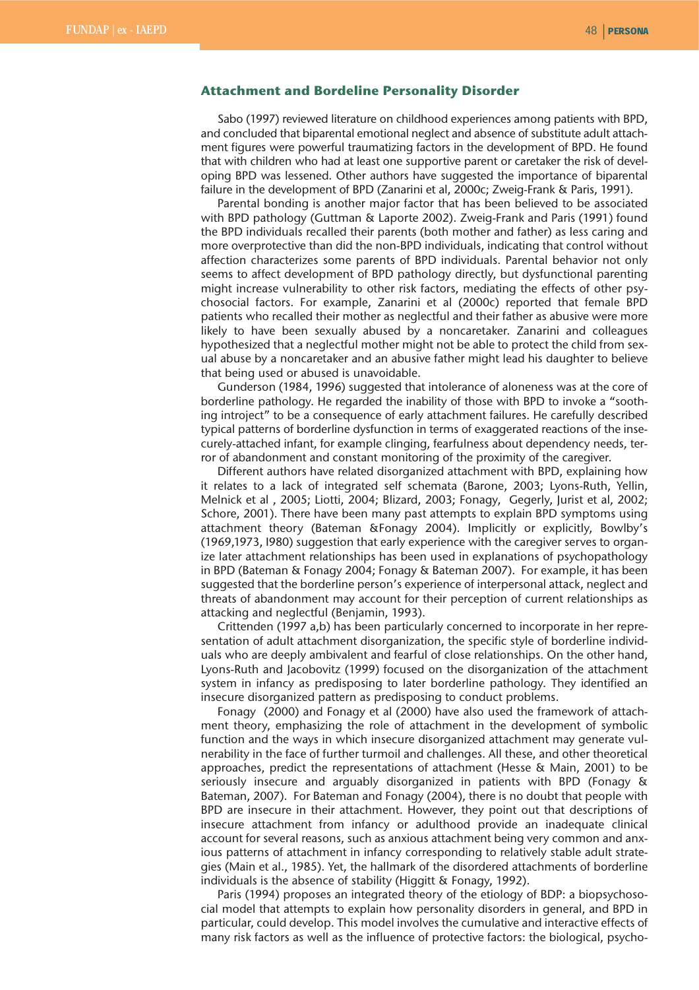### **Attachment and Bordeline Personality Disorder**

Sabo (1997) reviewed literature on childhood experiences among patients with BPD, and concluded that biparental emotional neglect and absence of substitute adult attachment figures were powerful traumatizing factors in the development of BPD. He found that with children who had at least one supportive parent or caretaker the risk of developing BPD was lessened. Other authors have suggested the importance of biparental failure in the development of BPD (Zanarini et al, 2000c; Zweig-Frank & Paris, 1991).

Parental bonding is another major factor that has been believed to be associated with BPD pathology (Guttman & Laporte 2002). Zweig-Frank and Paris (1991) found the BPD individuals recalled their parents (both mother and father) as less caring and more overprotective than did the non-BPD individuals, indicating that control without affection characterizes some parents of BPD individuals. Parental behavior not only seems to affect development of BPD pathology directly, but dysfunctional parenting might increase vulnerability to other risk factors, mediating the effects of other psychosocial factors. For example, Zanarini et al (2000c) reported that female BPD patients who recalled their mother as neglectful and their father as abusive were more likely to have been sexually abused by a noncaretaker. Zanarini and colleagues hypothesized that a neglectful mother might not be able to protect the child from sexual abuse by a noncaretaker and an abusive father might lead his daughter to believe that being used or abused is unavoidable.

Gunderson (1984, 1996) suggested that intolerance of aloneness was at the core of borderline pathology. He regarded the inability of those with BPD to invoke a "soothing introject" to be a consequence of early attachment failures. He carefully described typical patterns of borderline dysfunction in terms of exaggerated reactions of the insecurely-attached infant, for example clinging, fearfulness about dependency needs, terror of abandonment and constant monitoring of the proximity of the caregiver.

Different authors have related disorganized attachment with BPD, explaining how it relates to a lack of integrated self schemata (Barone, 2003; Lyons-Ruth, Yellin, Melnick et al , 2005; Liotti, 2004; Blizard, 2003; Fonagy, Gegerly, Jurist et al, 2002; Schore, 2001). There have been many past attempts to explain BPD symptoms using attachment theory (Bateman &Fonagy 2004). Implicitly or explicitly, Bowlby's (1969,1973, I980) suggestion that early experience with the caregiver serves to organize later attachment relationships has been used in explanations of psychopathology in BPD (Bateman & Fonagy 2004; Fonagy & Bateman 2007). For example, it has been suggested that the borderline person's experience of interpersonal attack, neglect and threats of abandonment may account for their perception of current relationships as attacking and neglectful (Benjamin, 1993).

Crittenden (1997 a,b) has been particularly concerned to incorporate in her representation of adult attachment disorganization, the specific style of borderline individuals who are deeply ambivalent and fearful of close relationships. On the other hand, Lyons-Ruth and Jacobovitz (1999) focused on the disorganization of the attachment system in infancy as predisposing to later borderline pathology. They identified an insecure disorganized pattern as predisposing to conduct problems.

Fonagy (2000) and Fonagy et al (2000) have also used the framework of attachment theory, emphasizing the role of attachment in the development of symbolic function and the ways in which insecure disorganized attachment may generate vulnerability in the face of further turmoil and challenges. All these, and other theoretical approaches, predict the representations of attachment (Hesse & Main, 2001) to be seriously insecure and arguably disorganized in patients with BPD (Fonagy & Bateman, 2007). For Bateman and Fonagy (2004), there is no doubt that people with BPD are insecure in their attachment. However, they point out that descriptions of insecure attachment from infancy or adulthood provide an inadequate clinical account for several reasons, such as anxious attachment being very common and anxious patterns of attachment in infancy corresponding to relatively stable adult strategies (Main et al., 1985). Yet, the hallmark of the disordered attachments of borderline individuals is the absence of stability (Higgitt & Fonagy, 1992).

Paris (1994) proposes an integrated theory of the etiology of BDP: a biopsychosocial model that attempts to explain how personality disorders in general, and BPD in particular, could develop. This model involves the cumulative and interactive effects of many risk factors as well as the influence of protective factors: the biological, psycho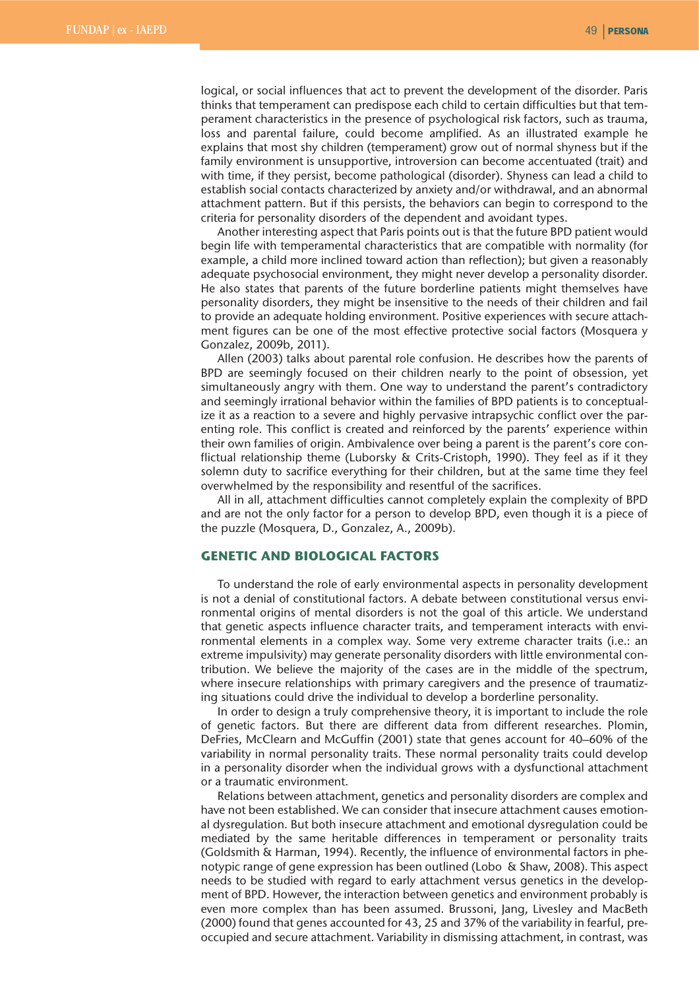logical, or social influences that act to prevent the development of the disorder. Paris thinks that temperament can predispose each child to certain difficulties but that temperament characteristics in the presence of psychological risk factors, such as trauma, loss and parental failure, could become amplified. As an illustrated example he explains that most shy children (temperament) grow out of normal shyness but if the family environment is unsupportive, introversion can become accentuated (trait) and with time, if they persist, become pathological (disorder). Shyness can lead a child to establish social contacts characterized by anxiety and/or withdrawal, and an abnormal attachment pattern. But if this persists, the behaviors can begin to correspond to the criteria for personality disorders of the dependent and avoidant types.

Another interesting aspect that Paris points out is that the future BPD patient would begin life with temperamental characteristics that are compatible with normality (for example, a child more inclined toward action than reflection); but given a reasonably adequate psychosocial environment, they might never develop a personality disorder. He also states that parents of the future borderline patients might themselves have personality disorders, they might be insensitive to the needs of their children and fail to provide an adequate holding environment. Positive experiences with secure attachment figures can be one of the most effective protective social factors (Mosquera y Gonzalez, 2009b, 2011).

Allen (2003) talks about parental role confusion. He describes how the parents of BPD are seemingly focused on their children nearly to the point of obsession, yet simultaneously angry with them. One way to understand the parent's contradictory and seemingly irrational behavior within the families of BPD patients is to conceptualize it as a reaction to a severe and highly pervasive intrapsychic conflict over the parenting role. This conflict is created and reinforced by the parents' experience within their own families of origin. Ambivalence over being a parent is the parent's core conflictual relationship theme (Luborsky & Crits-Cristoph, 1990). They feel as if it they solemn duty to sacrifice everything for their children, but at the same time they feel overwhelmed by the responsibility and resentful of the sacrifices.

All in all, attachment difficulties cannot completely explain the complexity of BPD and are not the only factor for a person to develop BPD, even though it is a piece of the puzzle (Mosquera, D., Gonzalez, A., 2009b).

## **GENETIC AND BIOLOGICAL FACTORS**

To understand the role of early environmental aspects in personality development is not a denial of constitutional factors. A debate between constitutional versus environmental origins of mental disorders is not the goal of this article. We understand that genetic aspects influence character traits, and temperament interacts with environmental elements in a complex way. Some very extreme character traits (i.e.: an extreme impulsivity) may generate personality disorders with little environmental contribution. We believe the majority of the cases are in the middle of the spectrum, where insecure relationships with primary caregivers and the presence of traumatizing situations could drive the individual to develop a borderline personality.

In order to design a truly comprehensive theory, it is important to include the role of genetic factors. But there are different data from different researches. Plomin, DeFries, McClearn and McGuffin (2001) state that genes account for 40–60% of the variability in normal personality traits. These normal personality traits could develop in a personality disorder when the individual grows with a dysfunctional attachment or a traumatic environment.

Relations between attachment, genetics and personality disorders are complex and have not been established. We can consider that insecure attachment causes emotional dysregulation. But both insecure attachment and emotional dysregulation could be mediated by the same heritable differences in temperament or personality traits (Goldsmith & Harman, 1994). Recently, the influence of environmental factors in phenotypic range of gene expression has been outlined (Lobo & Shaw, 2008). This aspect needs to be studied with regard to early attachment versus genetics in the development of BPD. However, the interaction between genetics and environment probably is even more complex than has been assumed. Brussoni, Jang, Livesley and MacBeth (2000) found that genes accounted for 43, 25 and 37% of the variability in fearful, preoccupied and secure attachment. Variability in dismissing attachment, in contrast, was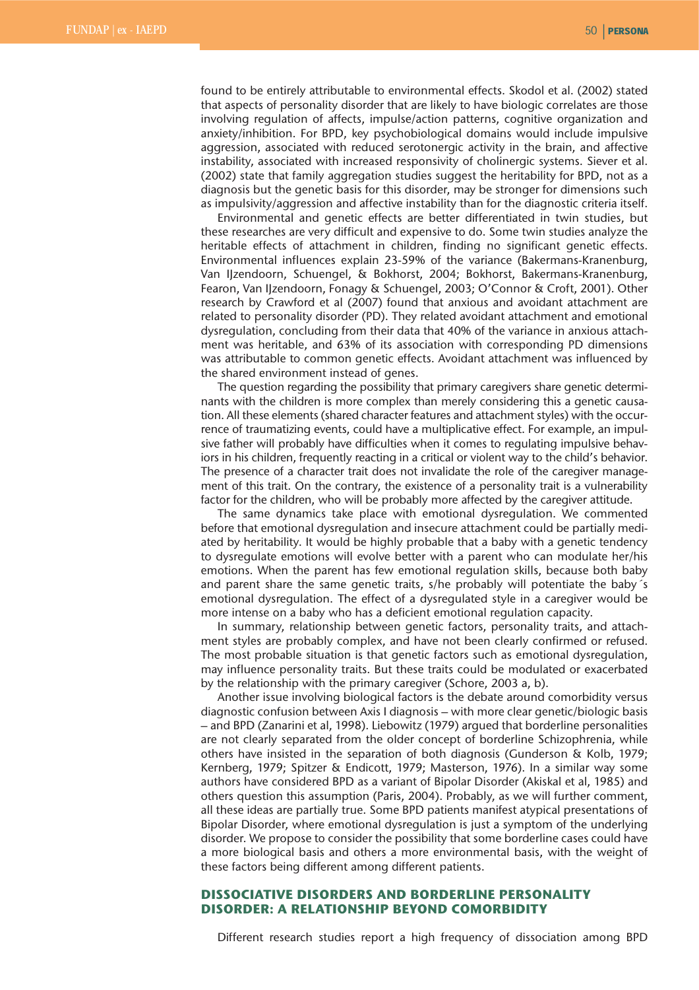found to be entirely attributable to environmental effects. Skodol et al. (2002) stated that aspects of personality disorder that are likely to have biologic correlates are those involving regulation of affects, impulse/action patterns, cognitive organization and anxiety/inhibition. For BPD, key psychobiological domains would include impulsive aggression, associated with reduced serotonergic activity in the brain, and affective instability, associated with increased responsivity of cholinergic systems. Siever et al. (2002) state that family aggregation studies suggest the heritability for BPD, not as a diagnosis but the genetic basis for this disorder, may be stronger for dimensions such as impulsivity/aggression and affective instability than for the diagnostic criteria itself.

Environmental and genetic effects are better differentiated in twin studies, but these researches are very difficult and expensive to do. Some twin studies analyze the heritable effects of attachment in children, finding no significant genetic effects. Environmental influences explain 23-59% of the variance (Bakermans-Kranenburg, Van IJzendoorn, Schuengel, & Bokhorst, 2004; Bokhorst, Bakermans-Kranenburg, Fearon, Van IJzendoorn, Fonagy & Schuengel, 2003; O'Connor & Croft, 2001). Other research by Crawford et al (2007) found that anxious and avoidant attachment are related to personality disorder (PD). They related avoidant attachment and emotional dysregulation, concluding from their data that 40% of the variance in anxious attachment was heritable, and 63% of its association with corresponding PD dimensions was attributable to common genetic effects. Avoidant attachment was influenced by the shared environment instead of genes.

The question regarding the possibility that primary caregivers share genetic determinants with the children is more complex than merely considering this a genetic causation. All these elements (shared character features and attachment styles) with the occurrence of traumatizing events, could have a multiplicative effect. For example, an impulsive father will probably have difficulties when it comes to regulating impulsive behaviors in his children, frequently reacting in a critical or violent way to the child's behavior. The presence of a character trait does not invalidate the role of the caregiver management of this trait. On the contrary, the existence of a personality trait is a vulnerability factor for the children, who will be probably more affected by the caregiver attitude.

The same dynamics take place with emotional dysregulation. We commented before that emotional dysregulation and insecure attachment could be partially mediated by heritability. It would be highly probable that a baby with a genetic tendency to dysregulate emotions will evolve better with a parent who can modulate her/his emotions. When the parent has few emotional regulation skills, because both baby and parent share the same genetic traits, s/he probably will potentiate the baby's emotional dysregulation. The effect of a dysregulated style in a caregiver would be more intense on a baby who has a deficient emotional regulation capacity.

In summary, relationship between genetic factors, personality traits, and attachment styles are probably complex, and have not been clearly confirmed or refused. The most probable situation is that genetic factors such as emotional dysregulation, may influence personality traits. But these traits could be modulated or exacerbated by the relationship with the primary caregiver (Schore, 2003 a, b).

Another issue involving biological factors is the debate around comorbidity versus diagnostic confusion between Axis I diagnosis – with more clear genetic/biologic basis – and BPD (Zanarini et al, 1998). Liebowitz (1979) argued that borderline personalities are not clearly separated from the older concept of borderline Schizophrenia, while others have insisted in the separation of both diagnosis (Gunderson & Kolb, 1979; Kernberg, 1979; Spitzer & Endicott, 1979; Masterson, 1976). In a similar way some authors have considered BPD as a variant of Bipolar Disorder (Akiskal et al, 1985) and others question this assumption (Paris, 2004). Probably, as we will further comment, all these ideas are partially true. Some BPD patients manifest atypical presentations of Bipolar Disorder, where emotional dysregulation is just a symptom of the underlying disorder. We propose to consider the possibility that some borderline cases could have a more biological basis and others a more environmental basis, with the weight of these factors being different among different patients.

# **DISSOCIATIVE DISORDERS AND BORDERLINE PERSONALITY DISORDER: A RELATIONSHIP BEYOND COMORBIDITY**

Different research studies report a high frequency of dissociation among BPD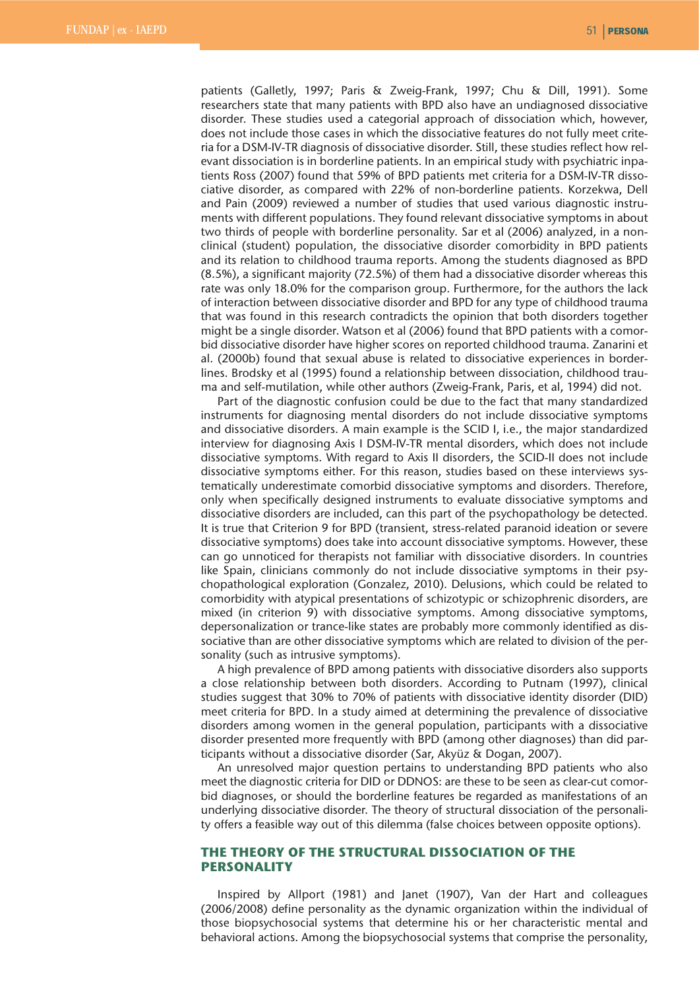patients (Galletly, 1997; Paris & Zweig-Frank, 1997; Chu & Dill, 1991). Some researchers state that many patients with BPD also have an undiagnosed dissociative disorder. These studies used a categorial approach of dissociation which, however, does not include those cases in which the dissociative features do not fully meet criteria for a DSM-IV-TR diagnosis of dissociative disorder. Still, these studies reflect how relevant dissociation is in borderline patients. In an empirical study with psychiatric inpatients Ross (2007) found that 59% of BPD patients met criteria for a DSM-IV-TR dissociative disorder, as compared with 22% of non-borderline patients. Korzekwa, Dell and Pain (2009) reviewed a number of studies that used various diagnostic instruments with different populations. They found relevant dissociative symptoms in about two thirds of people with borderline personality. Sar et al (2006) analyzed, in a nonclinical (student) population, the dissociative disorder comorbidity in BPD patients and its relation to childhood trauma reports. Among the students diagnosed as BPD (8.5%), a significant majority (72.5%) of them had a dissociative disorder whereas this rate was only 18.0% for the comparison group. Furthermore, for the authors the lack of interaction between dissociative disorder and BPD for any type of childhood trauma that was found in this research contradicts the opinion that both disorders together might be a single disorder. Watson et al (2006) found that BPD patients with a comorbid dissociative disorder have higher scores on reported childhood trauma. Zanarini et al. (2000b) found that sexual abuse is related to dissociative experiences in borderlines. Brodsky et al (1995) found a relationship between dissociation, childhood trauma and self-mutilation, while other authors (Zweig-Frank, Paris, et al, 1994) did not.

Part of the diagnostic confusion could be due to the fact that many standardized instruments for diagnosing mental disorders do not include dissociative symptoms and dissociative disorders. A main example is the SCID I, i.e., the major standardized interview for diagnosing Axis I DSM-IV-TR mental disorders, which does not include dissociative symptoms. With regard to Axis II disorders, the SCID-II does not include dissociative symptoms either. For this reason, studies based on these interviews systematically underestimate comorbid dissociative symptoms and disorders. Therefore, only when specifically designed instruments to evaluate dissociative symptoms and dissociative disorders are included, can this part of the psychopathology be detected. It is true that Criterion 9 for BPD (transient, stress-related paranoid ideation or severe dissociative symptoms) does take into account dissociative symptoms. However, these can go unnoticed for therapists not familiar with dissociative disorders. In countries like Spain, clinicians commonly do not include dissociative symptoms in their psychopathological exploration (Gonzalez, 2010). Delusions, which could be related to comorbidity with atypical presentations of schizotypic or schizophrenic disorders, are mixed (in criterion 9) with dissociative symptoms. Among dissociative symptoms, depersonalization or trance-like states are probably more commonly identified as dissociative than are other dissociative symptoms which are related to division of the personality (such as intrusive symptoms).

A high prevalence of BPD among patients with dissociative disorders also supports a close relationship between both disorders. According to Putnam (1997), clinical studies suggest that 30% to 70% of patients with dissociative identity disorder (DID) meet criteria for BPD. In a study aimed at determining the prevalence of dissociative disorders among women in the general population, participants with a dissociative disorder presented more frequently with BPD (among other diagnoses) than did participants without a dissociative disorder (Sar, Akyüz & Dogan, 2007).

An unresolved major question pertains to understanding BPD patients who also meet the diagnostic criteria for DID or DDNOS: are these to be seen as clear-cut comorbid diagnoses, or should the borderline features be regarded as manifestations of an underlying dissociative disorder. The theory of structural dissociation of the personality offers a feasible way out of this dilemma (false choices between opposite options).

# **THE THEORY OF THE STRUCTURAL DISSOCIATION OF THE PERSONALITY**

Inspired by Allport (1981) and Janet (1907), Van der Hart and colleagues (2006/2008) define personality as the dynamic organization within the individual of those biopsychosocial systems that determine his or her characteristic mental and behavioral actions. Among the biopsychosocial systems that comprise the personality,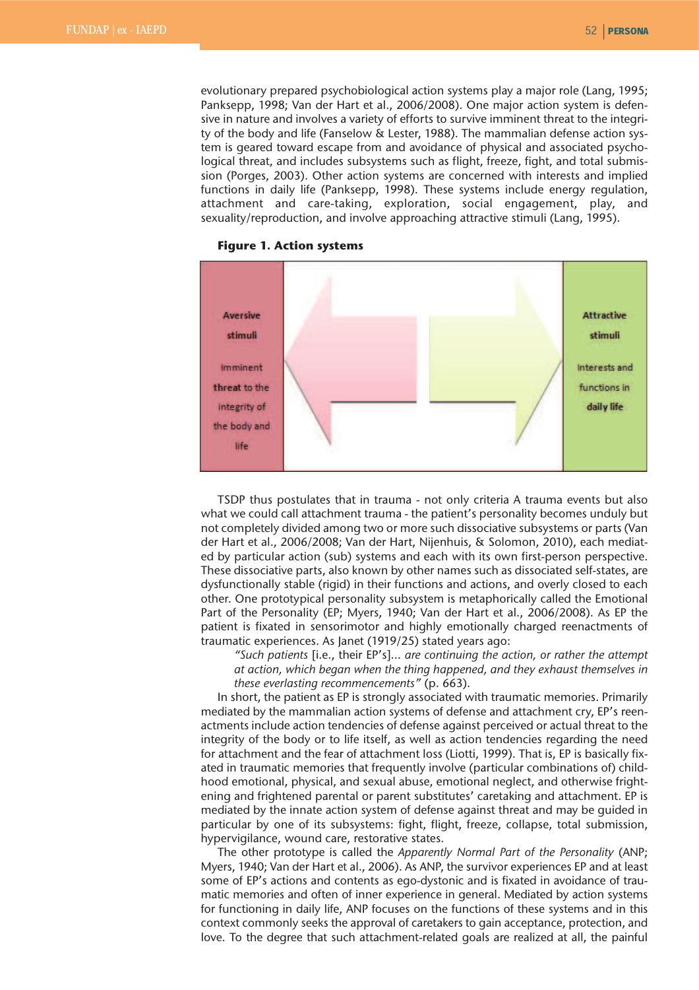ty of the body and life (Fanselow & Lester, 1988). The mammalian defense action system is geared toward escape from and avoidance of physical and associated psychological threat, and includes subsystems such as flight, freeze, fight, and total submission (Porges, 2003). Other action systems are concerned with interests and implied functions in daily life (Panksepp, 1998). These systems include energy regulation, attachment and care-taking, exploration, social engagement, play, and sexuality/reproduction, and involve approaching attractive stimuli (Lang, 1995).





TSDP thus postulates that in trauma - not only criteria A trauma events but also what we could call attachment trauma - the patient's personality becomes unduly but not completely divided among two or more such dissociative subsystems or parts (Van der Hart et al., 2006/2008; Van der Hart, Nijenhuis, & Solomon, 2010), each mediated by particular action (sub) systems and each with its own first-person perspective. These dissociative parts, also known by other names such as dissociated self-states, are dysfunctionally stable (rigid) in their functions and actions, and overly closed to each other. One prototypical personality subsystem is metaphorically called the Emotional Part of the Personality (EP; Myers, 1940; Van der Hart et al., 2006/2008). As EP the patient is fixated in sensorimotor and highly emotionally charged reenactments of traumatic experiences. As Janet (1919/25) stated years ago:

*"Such patients* [i.e., their EP's]... *are continuing the action, or rather the attempt at action, which began when the thing happened, and they exhaust themselves in these everlasting recommencements"* (p. 663).

In short, the patient as EP is strongly associated with traumatic memories. Primarily mediated by the mammalian action systems of defense and attachment cry, EP's reenactments include action tendencies of defense against perceived or actual threat to the integrity of the body or to life itself, as well as action tendencies regarding the need for attachment and the fear of attachment loss (Liotti, 1999). That is, EP is basically fixated in traumatic memories that frequently involve (particular combinations of) childhood emotional, physical, and sexual abuse, emotional neglect, and otherwise frightening and frightened parental or parent substitutes' caretaking and attachment. EP is mediated by the innate action system of defense against threat and may be guided in particular by one of its subsystems: fight, flight, freeze, collapse, total submission, hypervigilance, wound care, restorative states.

The other prototype is called the *Apparently Normal Part of the Personality* (ANP; Myers, 1940; Van der Hart et al., 2006). As ANP, the survivor experiences EP and at least some of EP's actions and contents as ego-dystonic and is fixated in avoidance of traumatic memories and often of inner experience in general. Mediated by action systems for functioning in daily life, ANP focuses on the functions of these systems and in this context commonly seeks the approval of caretakers to gain acceptance, protection, and love. To the degree that such attachment-related goals are realized at all, the painful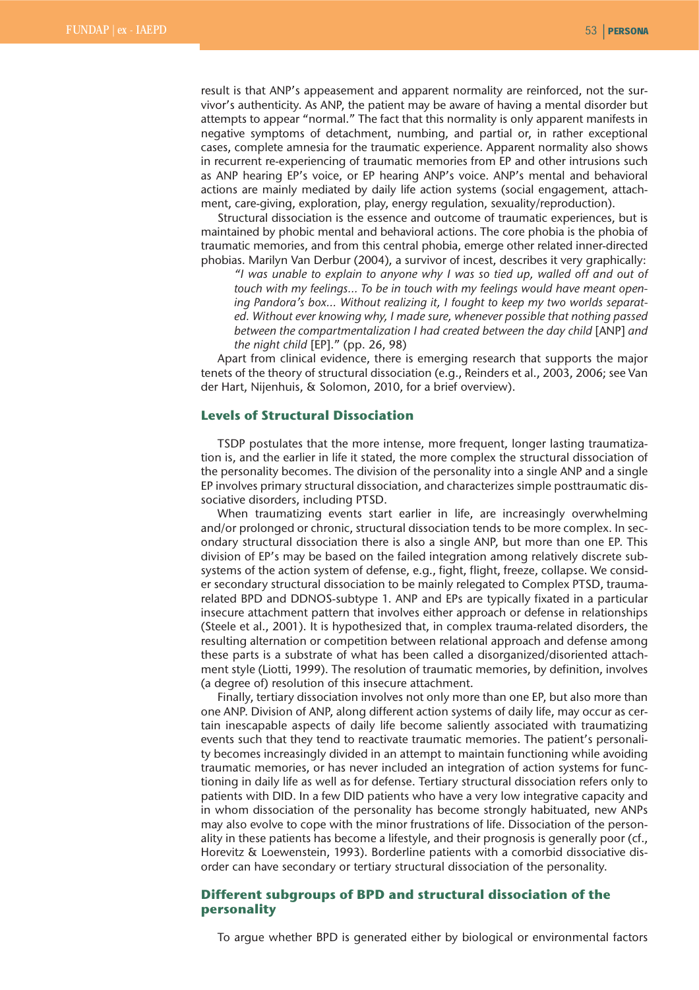result is that ANP's appeasement and apparent normality are reinforced, not the survivor's authenticity. As ANP, the patient may be aware of having a mental disorder but attempts to appear "normal." The fact that this normality is only apparent manifests in negative symptoms of detachment, numbing, and partial or, in rather exceptional cases, complete amnesia for the traumatic experience. Apparent normality also shows in recurrent re-experiencing of traumatic memories from EP and other intrusions such as ANP hearing EP's voice, or EP hearing ANP's voice. ANP's mental and behavioral actions are mainly mediated by daily life action systems (social engagement, attachment, care-giving, exploration, play, energy regulation, sexuality/reproduction).

Structural dissociation is the essence and outcome of traumatic experiences, but is maintained by phobic mental and behavioral actions. The core phobia is the phobia of traumatic memories, and from this central phobia, emerge other related inner-directed phobias. Marilyn Van Derbur (2004), a survivor of incest, describes it very graphically:

*"I was unable to explain to anyone why I was so tied up, walled off and out of touch with my feelings… To be in touch with my feelings would have meant opening Pandora's box… Without realizing it, I fought to keep my two worlds separated. Without ever knowing why, I made sure, whenever possible that nothing passed between the compartmentalization I had created between the day child* [ANP] *and the night child* [EP]." (pp. 26, 98)

Apart from clinical evidence, there is emerging research that supports the major tenets of the theory of structural dissociation (e.g., Reinders et al., 2003, 2006; see Van der Hart, Nijenhuis, & Solomon, 2010, for a brief overview).

#### **Levels of Structural Dissociation**

TSDP postulates that the more intense, more frequent, longer lasting traumatization is, and the earlier in life it stated, the more complex the structural dissociation of the personality becomes. The division of the personality into a single ANP and a single EP involves primary structural dissociation, and characterizes simple posttraumatic dissociative disorders, including PTSD.

When traumatizing events start earlier in life, are increasingly overwhelming and/or prolonged or chronic, structural dissociation tends to be more complex. In secondary structural dissociation there is also a single ANP, but more than one EP. This division of EP's may be based on the failed integration among relatively discrete subsystems of the action system of defense, e.g., fight, flight, freeze, collapse. We consider secondary structural dissociation to be mainly relegated to Complex PTSD, traumarelated BPD and DDNOS-subtype 1. ANP and EPs are typically fixated in a particular insecure attachment pattern that involves either approach or defense in relationships (Steele et al., 2001). It is hypothesized that, in complex trauma-related disorders, the resulting alternation or competition between relational approach and defense among these parts is a substrate of what has been called a disorganized/disoriented attachment style (Liotti, 1999). The resolution of traumatic memories, by definition, involves (a degree of) resolution of this insecure attachment.

Finally, tertiary dissociation involves not only more than one EP, but also more than one ANP. Division of ANP, along different action systems of daily life, may occur as certain inescapable aspects of daily life become saliently associated with traumatizing events such that they tend to reactivate traumatic memories. The patient's personality becomes increasingly divided in an attempt to maintain functioning while avoiding traumatic memories, or has never included an integration of action systems for functioning in daily life as well as for defense. Tertiary structural dissociation refers only to patients with DID. In a few DID patients who have a very low integrative capacity and in whom dissociation of the personality has become strongly habituated, new ANPs may also evolve to cope with the minor frustrations of life. Dissociation of the personality in these patients has become a lifestyle, and their prognosis is generally poor (cf., Horevitz & Loewenstein, 1993). Borderline patients with a comorbid dissociative disorder can have secondary or tertiary structural dissociation of the personality.

## **Different subgroups of BPD and structural dissociation of the personality**

To argue whether BPD is generated either by biological or environmental factors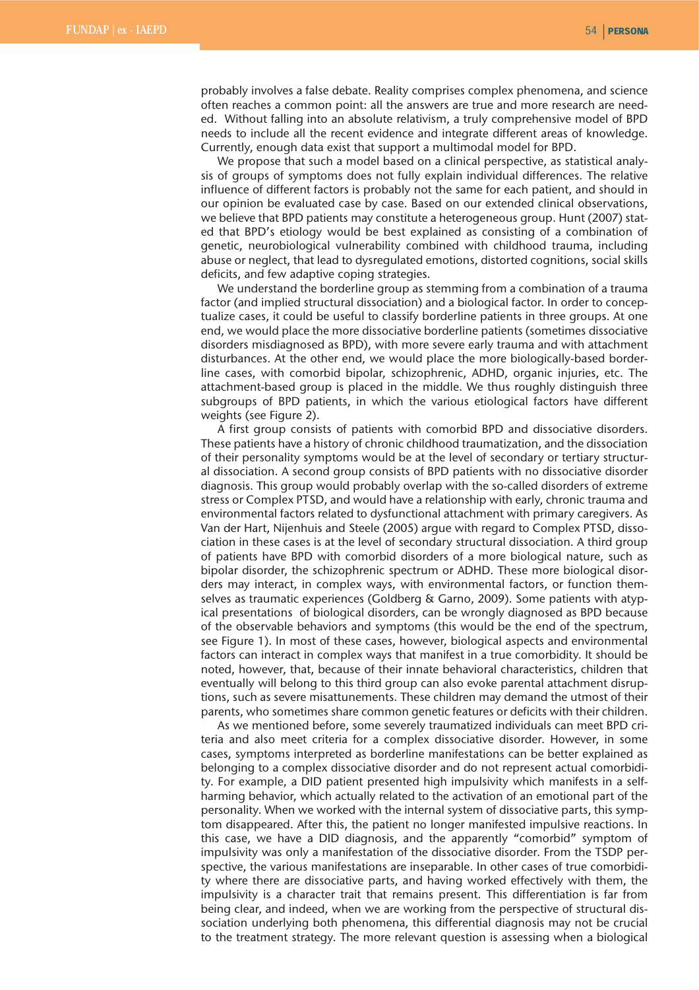probably involves a false debate. Reality comprises complex phenomena, and science often reaches a common point: all the answers are true and more research are needed. Without falling into an absolute relativism, a truly comprehensive model of BPD needs to include all the recent evidence and integrate different areas of knowledge. Currently, enough data exist that support a multimodal model for BPD.

We propose that such a model based on a clinical perspective, as statistical analysis of groups of symptoms does not fully explain individual differences. The relative influence of different factors is probably not the same for each patient, and should in our opinion be evaluated case by case. Based on our extended clinical observations, we believe that BPD patients may constitute a heterogeneous group. Hunt (2007) stated that BPD's etiology would be best explained as consisting of a combination of genetic, neurobiological vulnerability combined with childhood trauma, including abuse or neglect, that lead to dysregulated emotions, distorted cognitions, social skills deficits, and few adaptive coping strategies.

We understand the borderline group as stemming from a combination of a trauma factor (and implied structural dissociation) and a biological factor. In order to conceptualize cases, it could be useful to classify borderline patients in three groups. At one end, we would place the more dissociative borderline patients (sometimes dissociative disorders misdiagnosed as BPD), with more severe early trauma and with attachment disturbances. At the other end, we would place the more biologically-based borderline cases, with comorbid bipolar, schizophrenic, ADHD, organic injuries, etc. The attachment-based group is placed in the middle. We thus roughly distinguish three subgroups of BPD patients, in which the various etiological factors have different weights (see Figure 2).

A first group consists of patients with comorbid BPD and dissociative disorders. These patients have a history of chronic childhood traumatization, and the dissociation of their personality symptoms would be at the level of secondary or tertiary structural dissociation. A second group consists of BPD patients with no dissociative disorder diagnosis. This group would probably overlap with the so-called disorders of extreme stress or Complex PTSD, and would have a relationship with early, chronic trauma and environmental factors related to dysfunctional attachment with primary caregivers. As Van der Hart, Nijenhuis and Steele (2005) argue with regard to Complex PTSD, dissociation in these cases is at the level of secondary structural dissociation. A third group of patients have BPD with comorbid disorders of a more biological nature, such as bipolar disorder, the schizophrenic spectrum or ADHD. These more biological disorders may interact, in complex ways, with environmental factors, or function themselves as traumatic experiences (Goldberg & Garno, 2009). Some patients with atypical presentations of biological disorders, can be wrongly diagnosed as BPD because of the observable behaviors and symptoms (this would be the end of the spectrum, see Figure 1). In most of these cases, however, biological aspects and environmental factors can interact in complex ways that manifest in a true comorbidity. It should be noted, however, that, because of their innate behavioral characteristics, children that eventually will belong to this third group can also evoke parental attachment disruptions, such as severe misattunements. These children may demand the utmost of their parents, who sometimes share common genetic features or deficits with their children.

As we mentioned before, some severely traumatized individuals can meet BPD criteria and also meet criteria for a complex dissociative disorder. However, in some cases, symptoms interpreted as borderline manifestations can be better explained as belonging to a complex dissociative disorder and do not represent actual comorbidity. For example, a DID patient presented high impulsivity which manifests in a selfharming behavior, which actually related to the activation of an emotional part of the personality. When we worked with the internal system of dissociative parts, this symptom disappeared. After this, the patient no longer manifested impulsive reactions. In this case, we have a DID diagnosis, and the apparently "comorbid" symptom of impulsivity was only a manifestation of the dissociative disorder. From the TSDP perspective, the various manifestations are inseparable. In other cases of true comorbidity where there are dissociative parts, and having worked effectively with them, the impulsivity is a character trait that remains present. This differentiation is far from being clear, and indeed, when we are working from the perspective of structural dissociation underlying both phenomena, this differential diagnosis may not be crucial to the treatment strategy. The more relevant question is assessing when a biological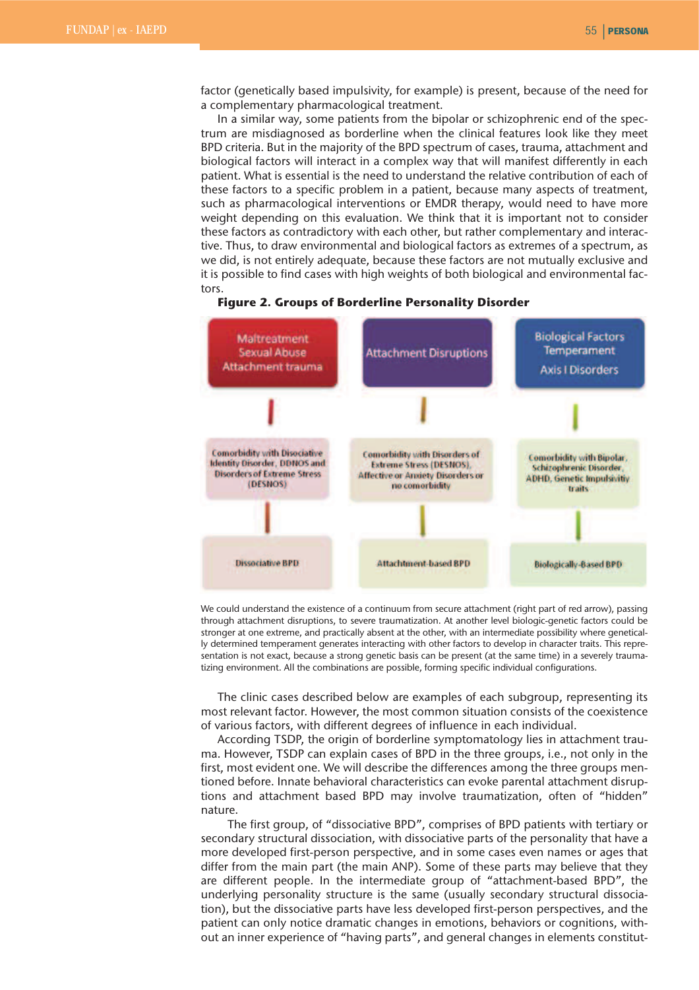factor (genetically based impulsivity, for example) is present, because of the need for a complementary pharmacological treatment.

In a similar way, some patients from the bipolar or schizophrenic end of the spectrum are misdiagnosed as borderline when the clinical features look like they meet BPD criteria. But in the majority of the BPD spectrum of cases, trauma, attachment and biological factors will interact in a complex way that will manifest differently in each patient. What is essential is the need to understand the relative contribution of each of these factors to a specific problem in a patient, because many aspects of treatment, such as pharmacological interventions or EMDR therapy, would need to have more weight depending on this evaluation. We think that it is important not to consider these factors as contradictory with each other, but rather complementary and interactive. Thus, to draw environmental and biological factors as extremes of a spectrum, as we did, is not entirely adequate, because these factors are not mutually exclusive and it is possible to find cases with high weights of both biological and environmental factors.



**Figure 2. Groups of Borderline Personality Disorder**

We could understand the existence of a continuum from secure attachment (right part of red arrow), passing through attachment disruptions, to severe traumatization. At another level biologic-genetic factors could be stronger at one extreme, and practically absent at the other, with an intermediate possibility where genetically determined temperament generates interacting with other factors to develop in character traits. This representation is not exact, because a strong genetic basis can be present (at the same time) in a severely traumatizing environment. All the combinations are possible, forming specific individual configurations.

The clinic cases described below are examples of each subgroup, representing its most relevant factor. However, the most common situation consists of the coexistence of various factors, with different degrees of influence in each individual.

According TSDP, the origin of borderline symptomatology lies in attachment trauma. However, TSDP can explain cases of BPD in the three groups, i.e., not only in the first, most evident one. We will describe the differences among the three groups mentioned before. Innate behavioral characteristics can evoke parental attachment disruptions and attachment based BPD may involve traumatization, often of "hidden" nature.

The first group, of "dissociative BPD", comprises of BPD patients with tertiary or secondary structural dissociation, with dissociative parts of the personality that have a more developed first-person perspective, and in some cases even names or ages that differ from the main part (the main ANP). Some of these parts may believe that they are different people. In the intermediate group of "attachment-based BPD", the underlying personality structure is the same (usually secondary structural dissociation), but the dissociative parts have less developed first-person perspectives, and the patient can only notice dramatic changes in emotions, behaviors or cognitions, without an inner experience of "having parts", and general changes in elements constitut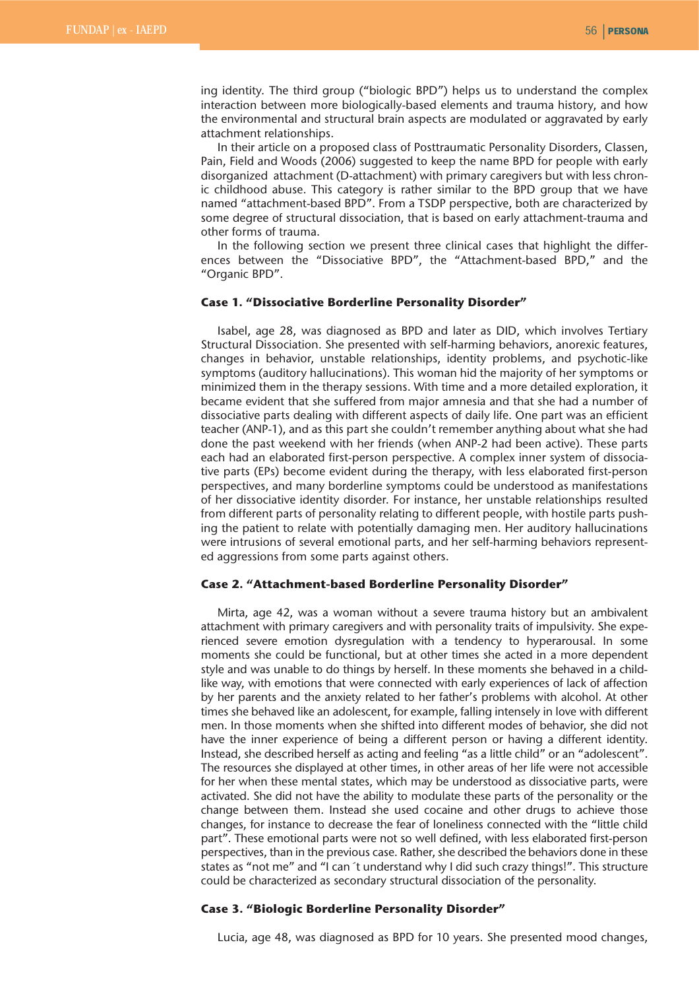ing identity. The third group ("biologic BPD") helps us to understand the complex interaction between more biologically-based elements and trauma history, and how the environmental and structural brain aspects are modulated or aggravated by early attachment relationships.

In their article on a proposed class of Posttraumatic Personality Disorders, Classen, Pain, Field and Woods (2006) suggested to keep the name BPD for people with early disorganized attachment (D-attachment) with primary caregivers but with less chronic childhood abuse. This category is rather similar to the BPD group that we have named "attachment-based BPD". From a TSDP perspective, both are characterized by some degree of structural dissociation, that is based on early attachment-trauma and other forms of trauma.

In the following section we present three clinical cases that highlight the differences between the "Dissociative BPD", the "Attachment-based BPD," and the "Organic BPD".

#### **Case 1. "Dissociative Borderline Personality Disorder"**

Isabel, age 28, was diagnosed as BPD and later as DID, which involves Tertiary Structural Dissociation. She presented with self-harming behaviors, anorexic features, changes in behavior, unstable relationships, identity problems, and psychotic-like symptoms (auditory hallucinations). This woman hid the majority of her symptoms or minimized them in the therapy sessions. With time and a more detailed exploration, it became evident that she suffered from major amnesia and that she had a number of dissociative parts dealing with different aspects of daily life. One part was an efficient teacher (ANP-1), and as this part she couldn't remember anything about what she had done the past weekend with her friends (when ANP-2 had been active). These parts each had an elaborated first-person perspective. A complex inner system of dissociative parts (EPs) become evident during the therapy, with less elaborated first-person perspectives, and many borderline symptoms could be understood as manifestations of her dissociative identity disorder. For instance, her unstable relationships resulted from different parts of personality relating to different people, with hostile parts pushing the patient to relate with potentially damaging men. Her auditory hallucinations were intrusions of several emotional parts, and her self-harming behaviors represented aggressions from some parts against others.

## **Case 2. "Attachment-based Borderline Personality Disorder"**

Mirta, age 42, was a woman without a severe trauma history but an ambivalent attachment with primary caregivers and with personality traits of impulsivity. She experienced severe emotion dysregulation with a tendency to hyperarousal. In some moments she could be functional, but at other times she acted in a more dependent style and was unable to do things by herself. In these moments she behaved in a childlike way, with emotions that were connected with early experiences of lack of affection by her parents and the anxiety related to her father's problems with alcohol. At other times she behaved like an adolescent, for example, falling intensely in love with different men. In those moments when she shifted into different modes of behavior, she did not have the inner experience of being a different person or having a different identity. Instead, she described herself as acting and feeling "as a little child" or an "adolescent". The resources she displayed at other times, in other areas of her life were not accessible for her when these mental states, which may be understood as dissociative parts, were activated. She did not have the ability to modulate these parts of the personality or the change between them. Instead she used cocaine and other drugs to achieve those changes, for instance to decrease the fear of loneliness connected with the "little child part". These emotional parts were not so well defined, with less elaborated first-person perspectives, than in the previous case. Rather, she described the behaviors done in these states as "not me" and "I can´t understand why I did such crazy things!". This structure could be characterized as secondary structural dissociation of the personality.

#### **Case 3. "Biologic Borderline Personality Disorder"**

Lucia, age 48, was diagnosed as BPD for 10 years. She presented mood changes,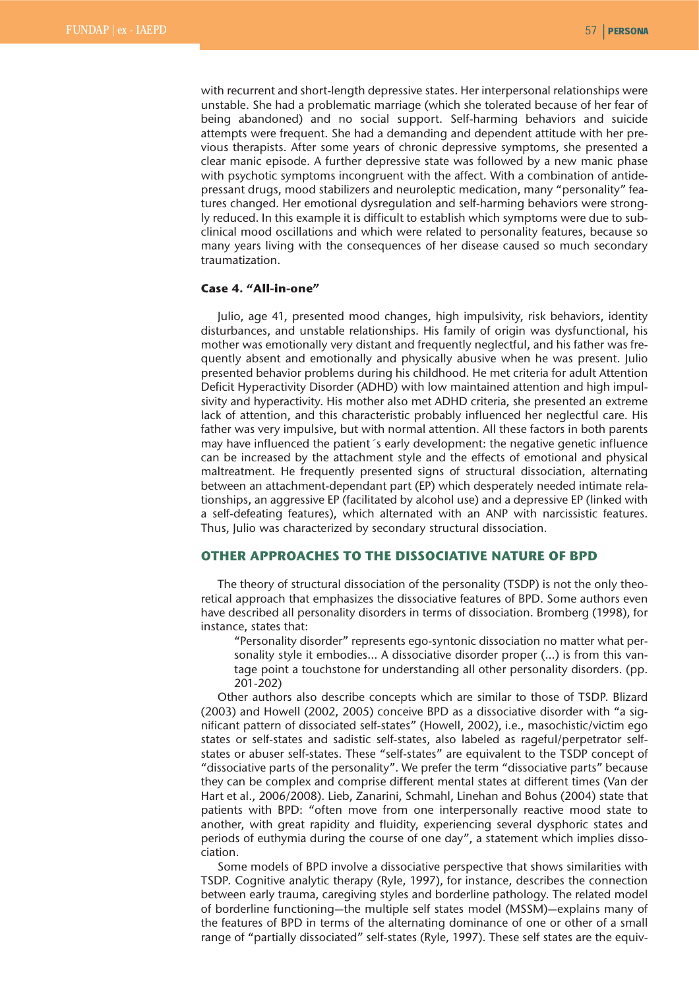with recurrent and short-length depressive states. Her interpersonal relationships were unstable. She had a problematic marriage (which she tolerated because of her fear of being abandoned) and no social support. Self-harming behaviors and suicide attempts were frequent. She had a demanding and dependent attitude with her previous therapists. After some years of chronic depressive symptoms, she presented a clear manic episode. A further depressive state was followed by a new manic phase with psychotic symptoms incongruent with the affect. With a combination of antidepressant drugs, mood stabilizers and neuroleptic medication, many "personality" features changed. Her emotional dysregulation and self-harming behaviors were strongly reduced. In this example it is difficult to establish which symptoms were due to subclinical mood oscillations and which were related to personality features, because so many years living with the consequences of her disease caused so much secondary traumatization.

# **Case 4. "All-in-one"**

Julio, age 41, presented mood changes, high impulsivity, risk behaviors, identity disturbances, and unstable relationships. His family of origin was dysfunctional, his mother was emotionally very distant and frequently neglectful, and his father was frequently absent and emotionally and physically abusive when he was present. Julio presented behavior problems during his childhood. He met criteria for adult Attention Deficit Hyperactivity Disorder (ADHD) with low maintained attention and high impulsivity and hyperactivity. His mother also met ADHD criteria, she presented an extreme lack of attention, and this characteristic probably influenced her neglectful care. His father was very impulsive, but with normal attention. All these factors in both parents may have influenced the patient´s early development: the negative genetic influence can be increased by the attachment style and the effects of emotional and physical maltreatment. He frequently presented signs of structural dissociation, alternating between an attachment-dependant part (EP) which desperately needed intimate relationships, an aggressive EP (facilitated by alcohol use) and a depressive EP (linked with a self-defeating features), which alternated with an ANP with narcissistic features. Thus, Julio was characterized by secondary structural dissociation.

### **OTHER APPROACHES TO THE DISSOCIATIVE NATURE OF BPD**

The theory of structural dissociation of the personality (TSDP) is not the only theoretical approach that emphasizes the dissociative features of BPD. Some authors even have described all personality disorders in terms of dissociation. Bromberg (1998), for instance, states that:

"Personality disorder" represents ego-syntonic dissociation no matter what personality style it embodies… A dissociative disorder proper (…) is from this vantage point a touchstone for understanding all other personality disorders. (pp. 201-202)

Other authors also describe concepts which are similar to those of TSDP. Blizard (2003) and Howell (2002, 2005) conceive BPD as a dissociative disorder with "a significant pattern of dissociated self-states" (Howell, 2002), i.e., masochistic/victim ego states or self-states and sadistic self-states, also labeled as rageful/perpetrator selfstates or abuser self-states. These "self-states" are equivalent to the TSDP concept of "dissociative parts of the personality". We prefer the term "dissociative parts" because they can be complex and comprise different mental states at different times (Van der Hart et al., 2006/2008). Lieb, Zanarini, Schmahl, Linehan and Bohus (2004) state that patients with BPD: "often move from one interpersonally reactive mood state to another, with great rapidity and fluidity, experiencing several dysphoric states and periods of euthymia during the course of one day", a statement which implies dissociation.

Some models of BPD involve a dissociative perspective that shows similarities with TSDP. Cognitive analytic therapy (Ryle, 1997), for instance, describes the connection between early trauma, caregiving styles and borderline pathology. The related model of borderline functioning—the multiple self states model (MSSM)—explains many of the features of BPD in terms of the alternating dominance of one or other of a small range of "partially dissociated" self-states (Ryle, 1997). These self states are the equiv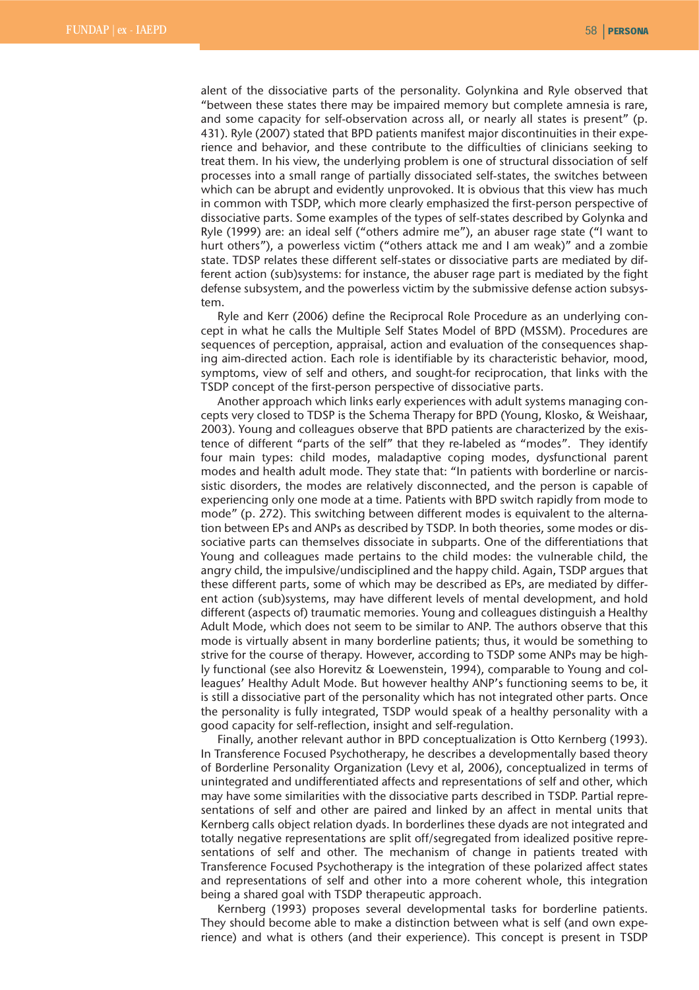alent of the dissociative parts of the personality. Golynkina and Ryle observed that "between these states there may be impaired memory but complete amnesia is rare, and some capacity for self-observation across all, or nearly all states is present" (p. 431). Ryle (2007) stated that BPD patients manifest major discontinuities in their experience and behavior, and these contribute to the difficulties of clinicians seeking to treat them. In his view, the underlying problem is one of structural dissociation of self processes into a small range of partially dissociated self-states, the switches between which can be abrupt and evidently unprovoked. It is obvious that this view has much in common with TSDP, which more clearly emphasized the first-person perspective of dissociative parts. Some examples of the types of self-states described by Golynka and Ryle (1999) are: an ideal self ("others admire me"), an abuser rage state ("I want to hurt others"), a powerless victim ("others attack me and I am weak)" and a zombie state. TDSP relates these different self-states or dissociative parts are mediated by different action (sub)systems: for instance, the abuser rage part is mediated by the fight defense subsystem, and the powerless victim by the submissive defense action subsystem.

Ryle and Kerr (2006) define the Reciprocal Role Procedure as an underlying concept in what he calls the Multiple Self States Model of BPD (MSSM). Procedures are sequences of perception, appraisal, action and evaluation of the consequences shaping aim-directed action. Each role is identifiable by its characteristic behavior, mood, symptoms, view of self and others, and sought-for reciprocation, that links with the TSDP concept of the first-person perspective of dissociative parts.

Another approach which links early experiences with adult systems managing concepts very closed to TDSP is the Schema Therapy for BPD (Young, Klosko, & Weishaar, 2003). Young and colleagues observe that BPD patients are characterized by the existence of different "parts of the self" that they re-labeled as "modes". They identify four main types: child modes, maladaptive coping modes, dysfunctional parent modes and health adult mode. They state that: "In patients with borderline or narcissistic disorders, the modes are relatively disconnected, and the person is capable of experiencing only one mode at a time. Patients with BPD switch rapidly from mode to mode" (p. 272). This switching between different modes is equivalent to the alternation between EPs and ANPs as described by TSDP. In both theories, some modes or dissociative parts can themselves dissociate in subparts. One of the differentiations that Young and colleagues made pertains to the child modes: the vulnerable child, the angry child, the impulsive/undisciplined and the happy child. Again, TSDP argues that these different parts, some of which may be described as EPs, are mediated by different action (sub)systems, may have different levels of mental development, and hold different (aspects of) traumatic memories. Young and colleagues distinguish a Healthy Adult Mode, which does not seem to be similar to ANP. The authors observe that this mode is virtually absent in many borderline patients; thus, it would be something to strive for the course of therapy. However, according to TSDP some ANPs may be highly functional (see also Horevitz & Loewenstein, 1994), comparable to Young and colleagues' Healthy Adult Mode. But however healthy ANP's functioning seems to be, it is still a dissociative part of the personality which has not integrated other parts. Once the personality is fully integrated, TSDP would speak of a healthy personality with a good capacity for self-reflection, insight and self-regulation.

Finally, another relevant author in BPD conceptualization is Otto Kernberg (1993). In Transference Focused Psychotherapy, he describes a developmentally based theory of Borderline Personality Organization (Levy et al, 2006), conceptualized in terms of unintegrated and undifferentiated affects and representations of self and other, which may have some similarities with the dissociative parts described in TSDP. Partial representations of self and other are paired and linked by an affect in mental units that Kernberg calls object relation dyads. In borderlines these dyads are not integrated and totally negative representations are split off/segregated from idealized positive representations of self and other. The mechanism of change in patients treated with Transference Focused Psychotherapy is the integration of these polarized affect states and representations of self and other into a more coherent whole, this integration being a shared goal with TSDP therapeutic approach.

Kernberg (1993) proposes several developmental tasks for borderline patients. They should become able to make a distinction between what is self (and own experience) and what is others (and their experience). This concept is present in TSDP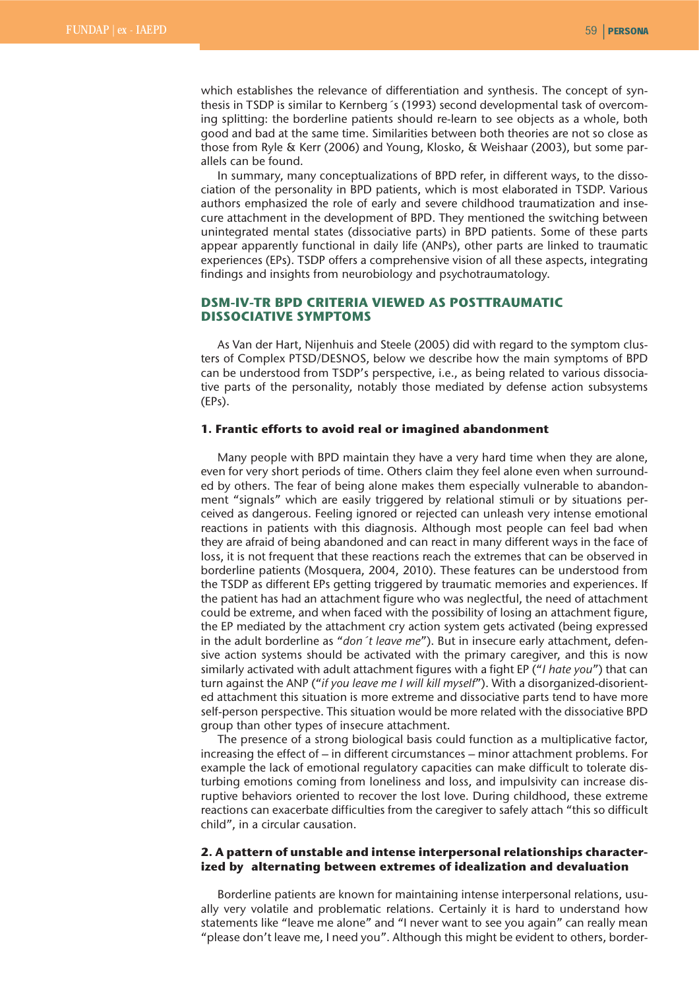which establishes the relevance of differentiation and synthesis. The concept of synthesis in TSDP is similar to Kernberg´s (1993) second developmental task of overcoming splitting: the borderline patients should re-learn to see objects as a whole, both good and bad at the same time. Similarities between both theories are not so close as those from Ryle & Kerr (2006) and Young, Klosko, & Weishaar (2003), but some parallels can be found.

In summary, many conceptualizations of BPD refer, in different ways, to the dissociation of the personality in BPD patients, which is most elaborated in TSDP. Various authors emphasized the role of early and severe childhood traumatization and insecure attachment in the development of BPD. They mentioned the switching between unintegrated mental states (dissociative parts) in BPD patients. Some of these parts appear apparently functional in daily life (ANPs), other parts are linked to traumatic experiences (EPs). TSDP offers a comprehensive vision of all these aspects, integrating findings and insights from neurobiology and psychotraumatology.

# **DSM-IV-TR BPD CRITERIA VIEWED AS POSTTRAUMATIC DISSOCIATIVE SYMPTOMS**

As Van der Hart, Nijenhuis and Steele (2005) did with regard to the symptom clusters of Complex PTSD/DESNOS, below we describe how the main symptoms of BPD can be understood from TSDP's perspective, i.e., as being related to various dissociative parts of the personality, notably those mediated by defense action subsystems (EPs).

## **1. Frantic efforts to avoid real or imagined abandonment**

Many people with BPD maintain they have a very hard time when they are alone, even for very short periods of time. Others claim they feel alone even when surrounded by others. The fear of being alone makes them especially vulnerable to abandonment "signals" which are easily triggered by relational stimuli or by situations perceived as dangerous. Feeling ignored or rejected can unleash very intense emotional reactions in patients with this diagnosis. Although most people can feel bad when they are afraid of being abandoned and can react in many different ways in the face of loss, it is not frequent that these reactions reach the extremes that can be observed in borderline patients (Mosquera, 2004, 2010). These features can be understood from the TSDP as different EPs getting triggered by traumatic memories and experiences. If the patient has had an attachment figure who was neglectful, the need of attachment could be extreme, and when faced with the possibility of losing an attachment figure, the EP mediated by the attachment cry action system gets activated (being expressed in the adult borderline as "*don´t leave me*"). But in insecure early attachment, defensive action systems should be activated with the primary caregiver, and this is now similarly activated with adult attachment figures with a fight EP ("*I hate you*") that can turn against the ANP ("*if you leave me I will kill myself*"). With a disorganized-disoriented attachment this situation is more extreme and dissociative parts tend to have more self-person perspective. This situation would be more related with the dissociative BPD group than other types of insecure attachment.

The presence of a strong biological basis could function as a multiplicative factor, increasing the effect of – in different circumstances – minor attachment problems. For example the lack of emotional regulatory capacities can make difficult to tolerate disturbing emotions coming from loneliness and loss, and impulsivity can increase disruptive behaviors oriented to recover the lost love. During childhood, these extreme reactions can exacerbate difficulties from the caregiver to safely attach "this so difficult child", in a circular causation.

# **2. A pattern of unstable and intense interpersonal relationships characterized by alternating between extremes of idealization and devaluation**

Borderline patients are known for maintaining intense interpersonal relations, usually very volatile and problematic relations. Certainly it is hard to understand how statements like "leave me alone" and "I never want to see you again" can really mean "please don't leave me, I need you". Although this might be evident to others, border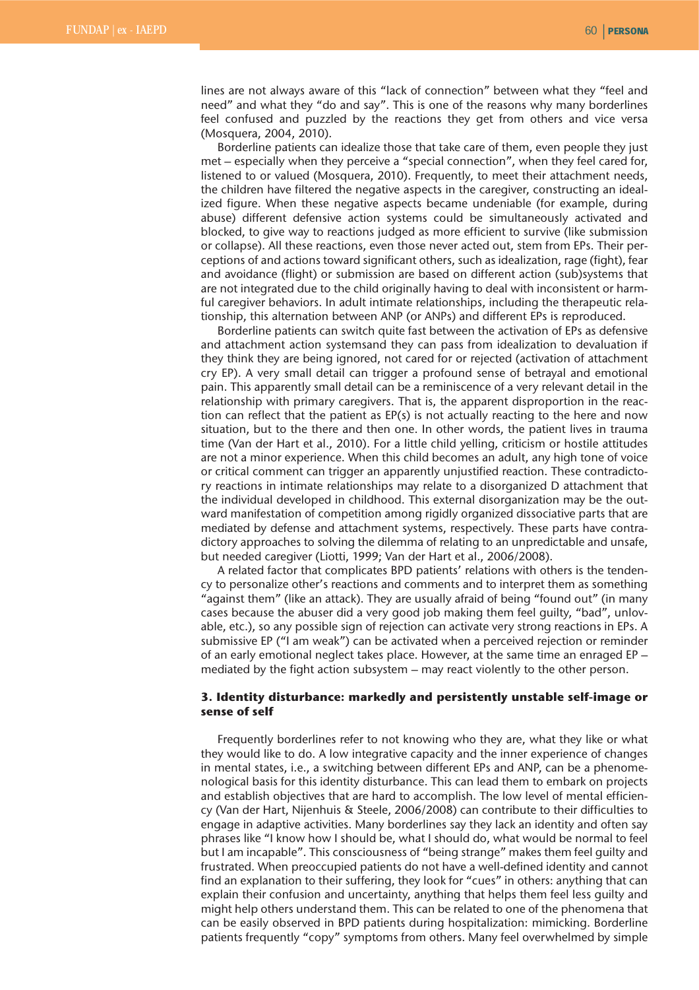lines are not always aware of this "lack of connection" between what they "feel and need" and what they "do and say". This is one of the reasons why many borderlines feel confused and puzzled by the reactions they get from others and vice versa (Mosquera, 2004, 2010).

Borderline patients can idealize those that take care of them, even people they just met – especially when they perceive a "special connection", when they feel cared for, listened to or valued (Mosquera, 2010). Frequently, to meet their attachment needs, the children have filtered the negative aspects in the caregiver, constructing an idealized figure. When these negative aspects became undeniable (for example, during abuse) different defensive action systems could be simultaneously activated and blocked, to give way to reactions judged as more efficient to survive (like submission or collapse). All these reactions, even those never acted out, stem from EPs. Their perceptions of and actions toward significant others, such as idealization, rage (fight), fear and avoidance (flight) or submission are based on different action (sub)systems that are not integrated due to the child originally having to deal with inconsistent or harmful caregiver behaviors. In adult intimate relationships, including the therapeutic relationship, this alternation between ANP (or ANPs) and different EPs is reproduced.

Borderline patients can switch quite fast between the activation of EPs as defensive and attachment action systemsand they can pass from idealization to devaluation if they think they are being ignored, not cared for or rejected (activation of attachment cry EP). A very small detail can trigger a profound sense of betrayal and emotional pain. This apparently small detail can be a reminiscence of a very relevant detail in the relationship with primary caregivers. That is, the apparent disproportion in the reaction can reflect that the patient as EP(s) is not actually reacting to the here and now situation, but to the there and then one. In other words, the patient lives in trauma time (Van der Hart et al., 2010). For a little child yelling, criticism or hostile attitudes are not a minor experience. When this child becomes an adult, any high tone of voice or critical comment can trigger an apparently unjustified reaction. These contradictory reactions in intimate relationships may relate to a disorganized D attachment that the individual developed in childhood. This external disorganization may be the outward manifestation of competition among rigidly organized dissociative parts that are mediated by defense and attachment systems, respectively. These parts have contradictory approaches to solving the dilemma of relating to an unpredictable and unsafe, but needed caregiver (Liotti, 1999; Van der Hart et al., 2006/2008).

A related factor that complicates BPD patients' relations with others is the tendency to personalize other's reactions and comments and to interpret them as something "against them" (like an attack). They are usually afraid of being "found out" (in many cases because the abuser did a very good job making them feel guilty, "bad", unlovable, etc.), so any possible sign of rejection can activate very strong reactions in EPs. A submissive EP ("I am weak") can be activated when a perceived rejection or reminder of an early emotional neglect takes place. However, at the same time an enraged EP – mediated by the fight action subsystem – may react violently to the other person.

## **3. Identity disturbance: markedly and persistently unstable self-image or sense of self**

Frequently borderlines refer to not knowing who they are, what they like or what they would like to do. A low integrative capacity and the inner experience of changes in mental states, i.e., a switching between different EPs and ANP, can be a phenomenological basis for this identity disturbance. This can lead them to embark on projects and establish objectives that are hard to accomplish. The low level of mental efficiency (Van der Hart, Nijenhuis & Steele, 2006/2008) can contribute to their difficulties to engage in adaptive activities. Many borderlines say they lack an identity and often say phrases like "I know how I should be, what I should do, what would be normal to feel but I am incapable". This consciousness of "being strange" makes them feel guilty and frustrated. When preoccupied patients do not have a well-defined identity and cannot find an explanation to their suffering, they look for "cues" in others: anything that can explain their confusion and uncertainty, anything that helps them feel less guilty and might help others understand them. This can be related to one of the phenomena that can be easily observed in BPD patients during hospitalization: mimicking. Borderline patients frequently "copy" symptoms from others. Many feel overwhelmed by simple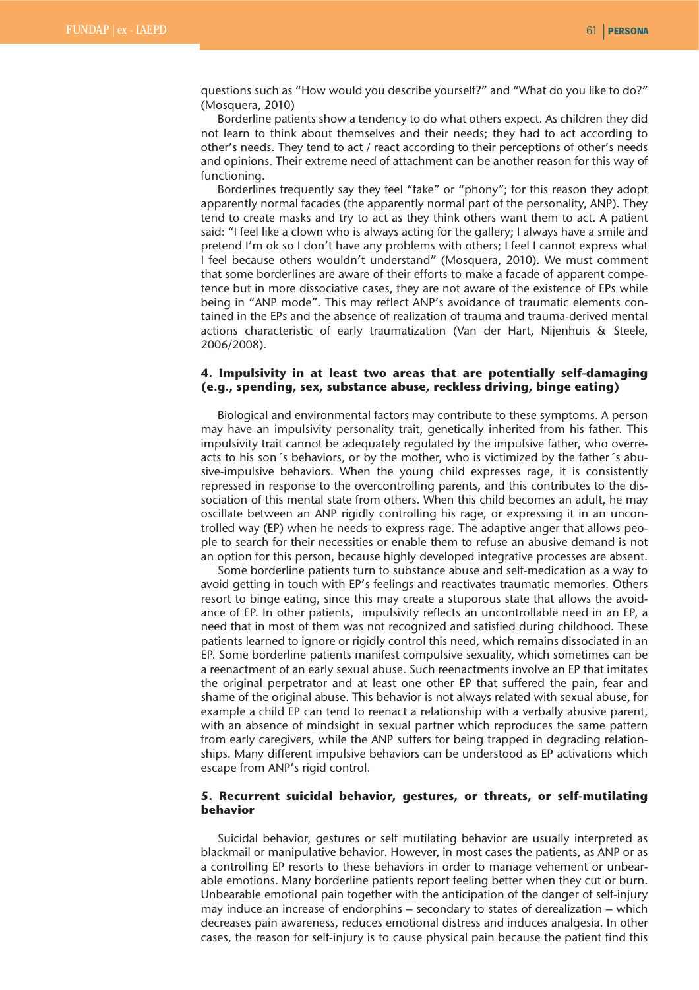questions such as "How would you describe yourself?" and "What do you like to do?" (Mosquera, 2010)

Borderline patients show a tendency to do what others expect. As children they did not learn to think about themselves and their needs; they had to act according to other's needs. They tend to act / react according to their perceptions of other's needs and opinions. Their extreme need of attachment can be another reason for this way of functioning.

Borderlines frequently say they feel "fake" or "phony"; for this reason they adopt apparently normal facades (the apparently normal part of the personality, ANP). They tend to create masks and try to act as they think others want them to act. A patient said: "I feel like a clown who is always acting for the gallery; I always have a smile and pretend I'm ok so I don't have any problems with others; I feel I cannot express what I feel because others wouldn't understand" (Mosquera, 2010). We must comment that some borderlines are aware of their efforts to make a facade of apparent competence but in more dissociative cases, they are not aware of the existence of EPs while being in "ANP mode". This may reflect ANP's avoidance of traumatic elements contained in the EPs and the absence of realization of trauma and trauma-derived mental actions characteristic of early traumatization (Van der Hart, Nijenhuis & Steele, 2006/2008).

## **4. Impulsivity in at least two areas that are potentially self-damaging (e.g., spending, sex, substance abuse, reckless driving, binge eating)**

Biological and environmental factors may contribute to these symptoms. A person may have an impulsivity personality trait, genetically inherited from his father. This impulsivity trait cannot be adequately regulated by the impulsive father, who overreacts to his son´s behaviors, or by the mother, who is victimized by the father´s abusive-impulsive behaviors. When the young child expresses rage, it is consistently repressed in response to the overcontrolling parents, and this contributes to the dissociation of this mental state from others. When this child becomes an adult, he may oscillate between an ANP rigidly controlling his rage, or expressing it in an uncontrolled way (EP) when he needs to express rage. The adaptive anger that allows people to search for their necessities or enable them to refuse an abusive demand is not an option for this person, because highly developed integrative processes are absent.

Some borderline patients turn to substance abuse and self-medication as a way to avoid getting in touch with EP's feelings and reactivates traumatic memories. Others resort to binge eating, since this may create a stuporous state that allows the avoidance of EP. In other patients, impulsivity reflects an uncontrollable need in an EP, a need that in most of them was not recognized and satisfied during childhood. These patients learned to ignore or rigidly control this need, which remains dissociated in an EP. Some borderline patients manifest compulsive sexuality, which sometimes can be a reenactment of an early sexual abuse. Such reenactments involve an EP that imitates the original perpetrator and at least one other EP that suffered the pain, fear and shame of the original abuse. This behavior is not always related with sexual abuse, for example a child EP can tend to reenact a relationship with a verbally abusive parent, with an absence of mindsight in sexual partner which reproduces the same pattern from early caregivers, while the ANP suffers for being trapped in degrading relationships. Many different impulsive behaviors can be understood as EP activations which escape from ANP's rigid control.

## **5. Recurrent suicidal behavior, gestures, or threats, or self-mutilating behavior**

Suicidal behavior, gestures or self mutilating behavior are usually interpreted as blackmail or manipulative behavior. However, in most cases the patients, as ANP or as a controlling EP resorts to these behaviors in order to manage vehement or unbearable emotions. Many borderline patients report feeling better when they cut or burn. Unbearable emotional pain together with the anticipation of the danger of self-injury may induce an increase of endorphins – secondary to states of derealization – which decreases pain awareness, reduces emotional distress and induces analgesia. In other cases, the reason for self-injury is to cause physical pain because the patient find this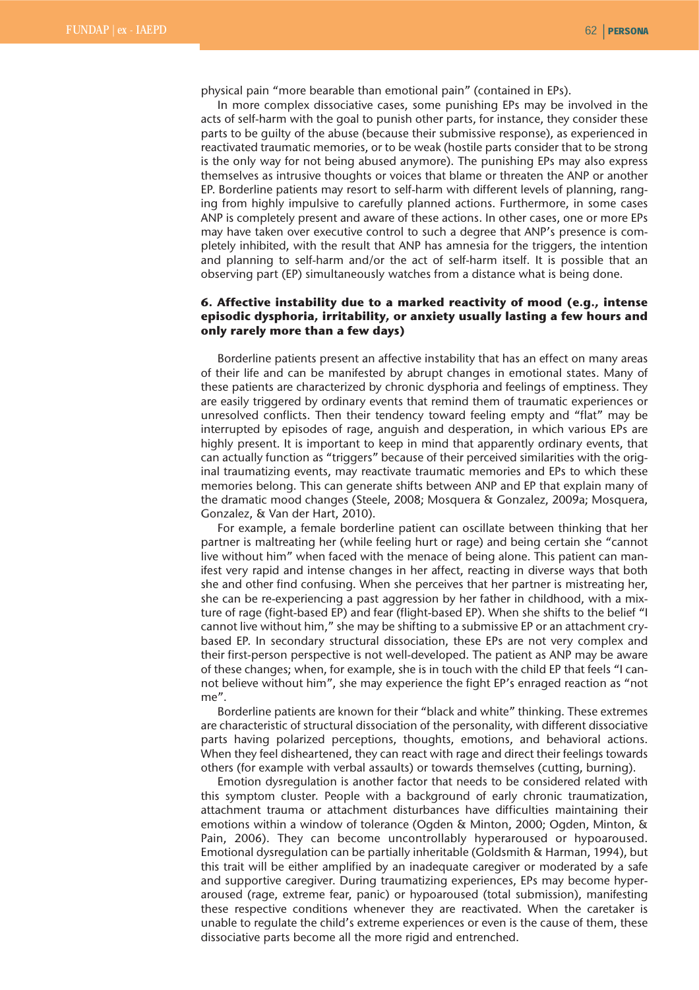physical pain "more bearable than emotional pain" (contained in EPs).

In more complex dissociative cases, some punishing EPs may be involved in the acts of self-harm with the goal to punish other parts, for instance, they consider these parts to be guilty of the abuse (because their submissive response), as experienced in reactivated traumatic memories, or to be weak (hostile parts consider that to be strong is the only way for not being abused anymore). The punishing EPs may also express themselves as intrusive thoughts or voices that blame or threaten the ANP or another EP. Borderline patients may resort to self-harm with different levels of planning, ranging from highly impulsive to carefully planned actions. Furthermore, in some cases ANP is completely present and aware of these actions. In other cases, one or more EPs may have taken over executive control to such a degree that ANP's presence is completely inhibited, with the result that ANP has amnesia for the triggers, the intention and planning to self-harm and/or the act of self-harm itself. It is possible that an observing part (EP) simultaneously watches from a distance what is being done.

## **6. Affective instability due to a marked reactivity of mood (e.g., intense episodic dysphoria, irritability, or anxiety usually lasting a few hours and only rarely more than a few days)**

Borderline patients present an affective instability that has an effect on many areas of their life and can be manifested by abrupt changes in emotional states. Many of these patients are characterized by chronic dysphoria and feelings of emptiness. They are easily triggered by ordinary events that remind them of traumatic experiences or unresolved conflicts. Then their tendency toward feeling empty and "flat" may be interrupted by episodes of rage, anguish and desperation, in which various EPs are highly present. It is important to keep in mind that apparently ordinary events, that can actually function as "triggers" because of their perceived similarities with the original traumatizing events, may reactivate traumatic memories and EPs to which these memories belong. This can generate shifts between ANP and EP that explain many of the dramatic mood changes (Steele, 2008; Mosquera & Gonzalez, 2009a; Mosquera, Gonzalez, & Van der Hart, 2010).

For example, a female borderline patient can oscillate between thinking that her partner is maltreating her (while feeling hurt or rage) and being certain she "cannot live without him" when faced with the menace of being alone. This patient can manifest very rapid and intense changes in her affect, reacting in diverse ways that both she and other find confusing. When she perceives that her partner is mistreating her, she can be re-experiencing a past aggression by her father in childhood, with a mixture of rage (fight-based EP) and fear (flight-based EP). When she shifts to the belief "I cannot live without him," she may be shifting to a submissive EP or an attachment crybased EP. In secondary structural dissociation, these EPs are not very complex and their first-person perspective is not well-developed. The patient as ANP may be aware of these changes; when, for example, she is in touch with the child EP that feels "I cannot believe without him", she may experience the fight EP's enraged reaction as "not me".

Borderline patients are known for their "black and white" thinking. These extremes are characteristic of structural dissociation of the personality, with different dissociative parts having polarized perceptions, thoughts, emotions, and behavioral actions. When they feel disheartened, they can react with rage and direct their feelings towards others (for example with verbal assaults) or towards themselves (cutting, burning).

Emotion dysregulation is another factor that needs to be considered related with this symptom cluster. People with a background of early chronic traumatization, attachment trauma or attachment disturbances have difficulties maintaining their emotions within a window of tolerance (Ogden & Minton, 2000; Ogden, Minton, & Pain, 2006). They can become uncontrollably hyperaroused or hypoaroused. Emotional dysregulation can be partially inheritable (Goldsmith & Harman, 1994), but this trait will be either amplified by an inadequate caregiver or moderated by a safe and supportive caregiver. During traumatizing experiences, EPs may become hyperaroused (rage, extreme fear, panic) or hypoaroused (total submission), manifesting these respective conditions whenever they are reactivated. When the caretaker is unable to regulate the child's extreme experiences or even is the cause of them, these dissociative parts become all the more rigid and entrenched.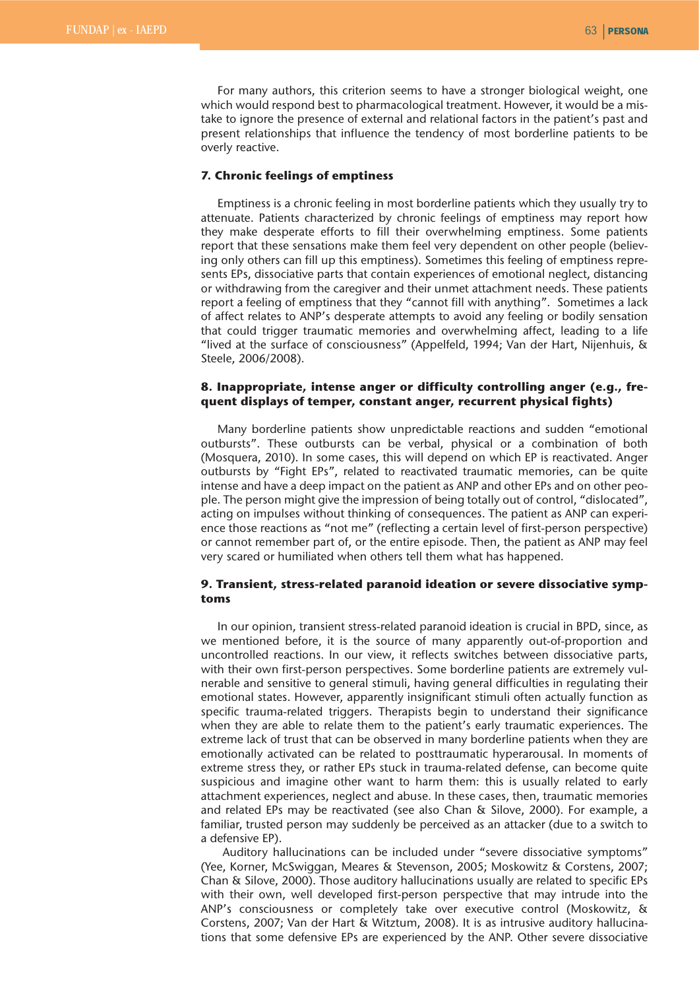For many authors, this criterion seems to have a stronger biological weight, one which would respond best to pharmacological treatment. However, it would be a mistake to ignore the presence of external and relational factors in the patient's past and present relationships that influence the tendency of most borderline patients to be overly reactive.

## **7. Chronic feelings of emptiness**

Emptiness is a chronic feeling in most borderline patients which they usually try to attenuate. Patients characterized by chronic feelings of emptiness may report how they make desperate efforts to fill their overwhelming emptiness. Some patients report that these sensations make them feel very dependent on other people (believing only others can fill up this emptiness). Sometimes this feeling of emptiness represents EPs, dissociative parts that contain experiences of emotional neglect, distancing or withdrawing from the caregiver and their unmet attachment needs. These patients report a feeling of emptiness that they "cannot fill with anything". Sometimes a lack of affect relates to ANP's desperate attempts to avoid any feeling or bodily sensation that could trigger traumatic memories and overwhelming affect, leading to a life "lived at the surface of consciousness" (Appelfeld, 1994; Van der Hart, Nijenhuis, & Steele, 2006/2008).

## **8. Inappropriate, intense anger or difficulty controlling anger (e.g., frequent displays of temper, constant anger, recurrent physical fights)**

Many borderline patients show unpredictable reactions and sudden "emotional outbursts". These outbursts can be verbal, physical or a combination of both (Mosquera, 2010). In some cases, this will depend on which EP is reactivated. Anger outbursts by "Fight EPs", related to reactivated traumatic memories, can be quite intense and have a deep impact on the patient as ANP and other EPs and on other people. The person might give the impression of being totally out of control, "dislocated", acting on impulses without thinking of consequences. The patient as ANP can experience those reactions as "not me" (reflecting a certain level of first-person perspective) or cannot remember part of, or the entire episode. Then, the patient as ANP may feel very scared or humiliated when others tell them what has happened.

## **9. Transient, stress-related paranoid ideation or severe dissociative symptoms**

In our opinion, transient stress-related paranoid ideation is crucial in BPD, since, as we mentioned before, it is the source of many apparently out-of-proportion and uncontrolled reactions. In our view, it reflects switches between dissociative parts, with their own first-person perspectives. Some borderline patients are extremely vulnerable and sensitive to general stimuli, having general difficulties in regulating their emotional states. However, apparently insignificant stimuli often actually function as specific trauma-related triggers. Therapists begin to understand their significance when they are able to relate them to the patient's early traumatic experiences. The extreme lack of trust that can be observed in many borderline patients when they are emotionally activated can be related to posttraumatic hyperarousal. In moments of extreme stress they, or rather EPs stuck in trauma-related defense, can become quite suspicious and imagine other want to harm them: this is usually related to early attachment experiences, neglect and abuse. In these cases, then, traumatic memories and related EPs may be reactivated (see also Chan & Silove, 2000). For example, a familiar, trusted person may suddenly be perceived as an attacker (due to a switch to a defensive EP).

Auditory hallucinations can be included under "severe dissociative symptoms" (Yee, Korner, McSwiggan, Meares & Stevenson, 2005; Moskowitz & Corstens, 2007; Chan & Silove, 2000). Those auditory hallucinations usually are related to specific EPs with their own, well developed first-person perspective that may intrude into the ANP's consciousness or completely take over executive control (Moskowitz, & Corstens, 2007; Van der Hart & Witztum, 2008). It is as intrusive auditory hallucinations that some defensive EPs are experienced by the ANP. Other severe dissociative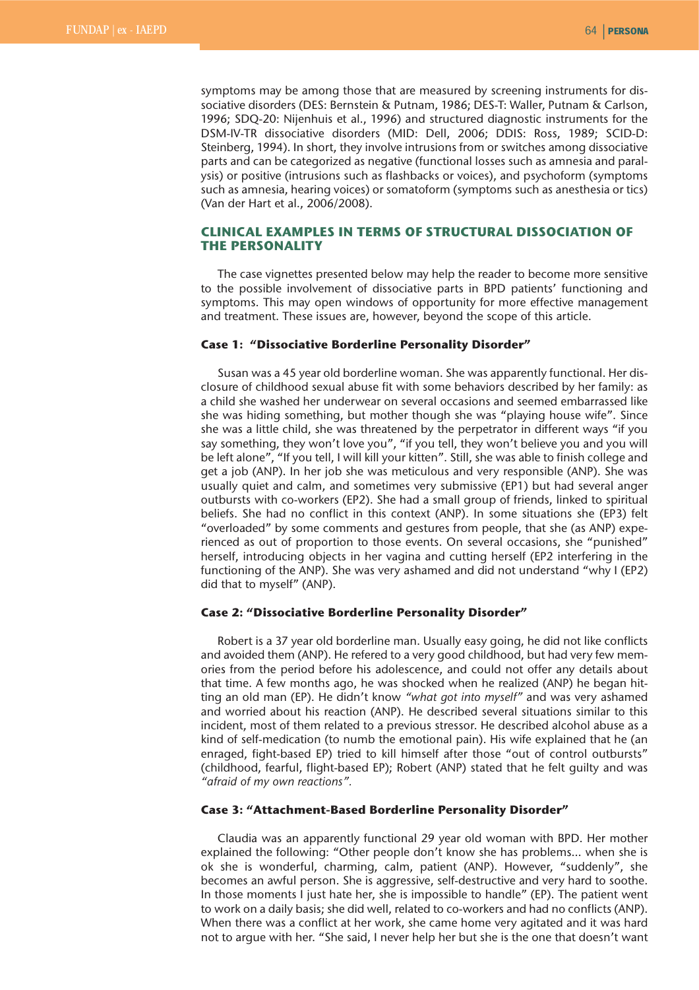symptoms may be among those that are measured by screening instruments for dissociative disorders (DES: Bernstein & Putnam, 1986; DES-T: Waller, Putnam & Carlson, 1996; SDQ-20: Nijenhuis et al., 1996) and structured diagnostic instruments for the DSM-IV-TR dissociative disorders (MID: Dell, 2006; DDIS: Ross, 1989; SCID-D: Steinberg, 1994). In short, they involve intrusions from or switches among dissociative parts and can be categorized as negative (functional losses such as amnesia and paralysis) or positive (intrusions such as flashbacks or voices), and psychoform (symptoms such as amnesia, hearing voices) or somatoform (symptoms such as anesthesia or tics) (Van der Hart et al., 2006/2008).

# **CLINICAL EXAMPLES IN TERMS OF STRUCTURAL DISSOCIATION OF THE PERSONALITY**

The case vignettes presented below may help the reader to become more sensitive to the possible involvement of dissociative parts in BPD patients' functioning and symptoms. This may open windows of opportunity for more effective management and treatment. These issues are, however, beyond the scope of this article.

#### **Case 1: "Dissociative Borderline Personality Disorder"**

Susan was a 45 year old borderline woman. She was apparently functional. Her disclosure of childhood sexual abuse fit with some behaviors described by her family: as a child she washed her underwear on several occasions and seemed embarrassed like she was hiding something, but mother though she was "playing house wife". Since she was a little child, she was threatened by the perpetrator in different ways "if you say something, they won't love you", "if you tell, they won't believe you and you will be left alone", "If you tell, I will kill your kitten". Still, she was able to finish college and get a job (ANP). In her job she was meticulous and very responsible (ANP). She was usually quiet and calm, and sometimes very submissive (EP1) but had several anger outbursts with co-workers (EP2). She had a small group of friends, linked to spiritual beliefs. She had no conflict in this context (ANP). In some situations she (EP3) felt "overloaded" by some comments and gestures from people, that she (as ANP) experienced as out of proportion to those events. On several occasions, she "punished" herself, introducing objects in her vagina and cutting herself (EP2 interfering in the functioning of the ANP). She was very ashamed and did not understand "why I (EP2) did that to myself" (ANP).

#### **Case 2: "Dissociative Borderline Personality Disorder"**

Robert is a 37 year old borderline man. Usually easy going, he did not like conflicts and avoided them (ANP). He refered to a very good childhood, but had very few memories from the period before his adolescence, and could not offer any details about that time. A few months ago, he was shocked when he realized (ANP) he began hitting an old man (EP). He didn't know *"what got into myself"* and was very ashamed and worried about his reaction (ANP). He described several situations similar to this incident, most of them related to a previous stressor. He described alcohol abuse as a kind of self-medication (to numb the emotional pain). His wife explained that he (an enraged, fight-based EP) tried to kill himself after those "out of control outbursts" (childhood, fearful, flight-based EP); Robert (ANP) stated that he felt guilty and was *"afraid of my own reactions".*

#### **Case 3: "Attachment-Based Borderline Personality Disorder"**

Claudia was an apparently functional 29 year old woman with BPD. Her mother explained the following: "Other people don't know she has problems… when she is ok she is wonderful, charming, calm, patient (ANP). However, "suddenly", she becomes an awful person. She is aggressive, self-destructive and very hard to soothe. In those moments I just hate her, she is impossible to handle" (EP). The patient went to work on a daily basis; she did well, related to co-workers and had no conflicts (ANP). When there was a conflict at her work, she came home very agitated and it was hard not to argue with her. "She said, I never help her but she is the one that doesn't want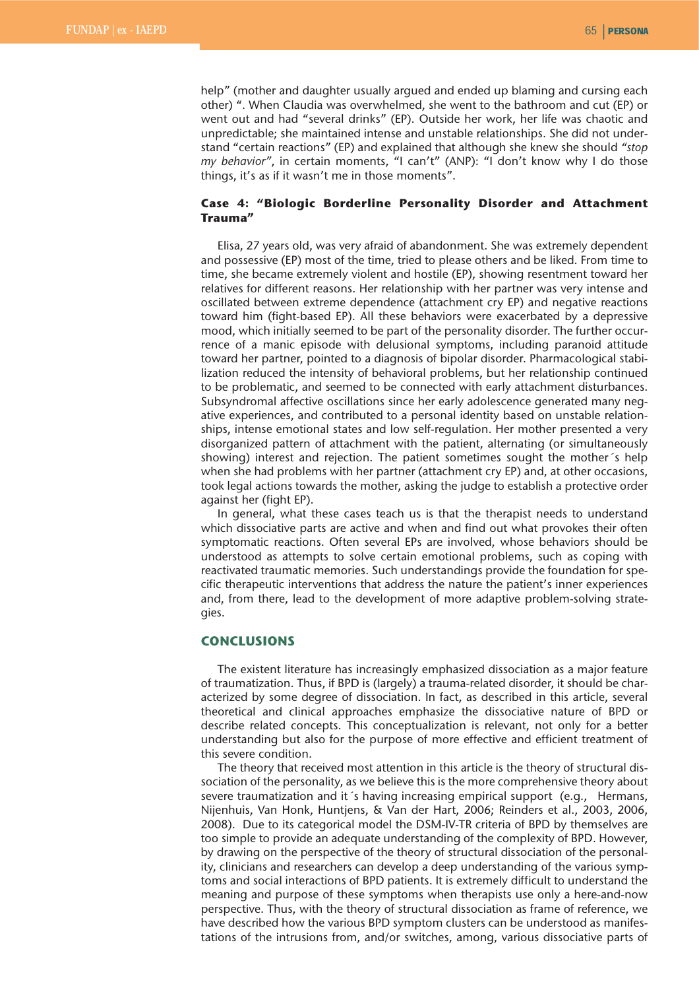help" (mother and daughter usually argued and ended up blaming and cursing each other) ". When Claudia was overwhelmed, she went to the bathroom and cut (EP) or went out and had "several drinks" (EP). Outside her work, her life was chaotic and unpredictable; she maintained intense and unstable relationships. She did not understand "certain reactions" (EP) and explained that although she knew she should *"stop my behavior"*, in certain moments, "I can't" (ANP): "I don't know why I do those things, it's as if it wasn't me in those moments".

## **Case 4: "Biologic Borderline Personality Disorder and Attachment Trauma"**

Elisa, 27 years old, was very afraid of abandonment. She was extremely dependent and possessive (EP) most of the time, tried to please others and be liked. From time to time, she became extremely violent and hostile (EP), showing resentment toward her relatives for different reasons. Her relationship with her partner was very intense and oscillated between extreme dependence (attachment cry EP) and negative reactions toward him (fight-based EP). All these behaviors were exacerbated by a depressive mood, which initially seemed to be part of the personality disorder. The further occurrence of a manic episode with delusional symptoms, including paranoid attitude toward her partner, pointed to a diagnosis of bipolar disorder. Pharmacological stabilization reduced the intensity of behavioral problems, but her relationship continued to be problematic, and seemed to be connected with early attachment disturbances. Subsyndromal affective oscillations since her early adolescence generated many negative experiences, and contributed to a personal identity based on unstable relationships, intense emotional states and low self-regulation. Her mother presented a very disorganized pattern of attachment with the patient, alternating (or simultaneously showing) interest and rejection. The patient sometimes sought the mother´s help when she had problems with her partner (attachment cry EP) and, at other occasions, took legal actions towards the mother, asking the judge to establish a protective order against her (fight EP).

In general, what these cases teach us is that the therapist needs to understand which dissociative parts are active and when and find out what provokes their often symptomatic reactions. Often several EPs are involved, whose behaviors should be understood as attempts to solve certain emotional problems, such as coping with reactivated traumatic memories. Such understandings provide the foundation for specific therapeutic interventions that address the nature the patient's inner experiences and, from there, lead to the development of more adaptive problem-solving strategies.

#### **CONCLUSIONS**

The existent literature has increasingly emphasized dissociation as a major feature of traumatization. Thus, if BPD is (largely) a trauma-related disorder, it should be characterized by some degree of dissociation. In fact, as described in this article, several theoretical and clinical approaches emphasize the dissociative nature of BPD or describe related concepts. This conceptualization is relevant, not only for a better understanding but also for the purpose of more effective and efficient treatment of this severe condition.

The theory that received most attention in this article is the theory of structural dissociation of the personality, as we believe this is the more comprehensive theory about severe traumatization and it´s having increasing empirical support (e.g., Hermans, Nijenhuis, Van Honk, Huntjens, & Van der Hart, 2006; Reinders et al., 2003, 2006, 2008). Due to its categorical model the DSM-IV-TR criteria of BPD by themselves are too simple to provide an adequate understanding of the complexity of BPD. However, by drawing on the perspective of the theory of structural dissociation of the personality, clinicians and researchers can develop a deep understanding of the various symptoms and social interactions of BPD patients. It is extremely difficult to understand the meaning and purpose of these symptoms when therapists use only a here-and-now perspective. Thus, with the theory of structural dissociation as frame of reference, we have described how the various BPD symptom clusters can be understood as manifestations of the intrusions from, and/or switches, among, various dissociative parts of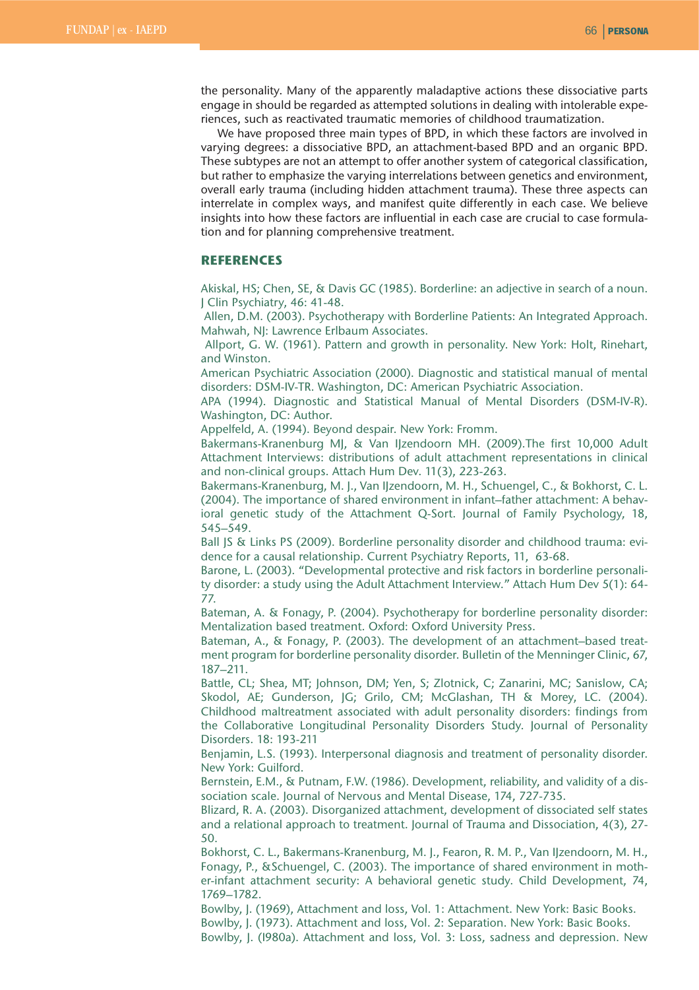the personality. Many of the apparently maladaptive actions these dissociative parts engage in should be regarded as attempted solutions in dealing with intolerable experiences, such as reactivated traumatic memories of childhood traumatization.

We have proposed three main types of BPD, in which these factors are involved in varying degrees: a dissociative BPD, an attachment-based BPD and an organic BPD. These subtypes are not an attempt to offer another system of categorical classification, but rather to emphasize the varying interrelations between genetics and environment, overall early trauma (including hidden attachment trauma). These three aspects can interrelate in complex ways, and manifest quite differently in each case. We believe insights into how these factors are influential in each case are crucial to case formulation and for planning comprehensive treatment.

### **REFERENCES**

Akiskal, HS; Chen, SE, & Davis GC (1985). Borderline: an adjective in search of a noun. J Clin Psychiatry, 46: 41-48.

Allen, D.M. (2003). Psychotherapy with Borderline Patients: An Integrated Approach. Mahwah, NJ: Lawrence Erlbaum Associates.

Allport, G. W. (1961). Pattern and growth in personality. New York: Holt, Rinehart, and Winston.

American Psychiatric Association (2000). Diagnostic and statistical manual of mental disorders: DSM-IV-TR. Washington, DC: American Psychiatric Association.

APA (1994). Diagnostic and Statistical Manual of Mental Disorders (DSM-IV-R). Washington, DC: Author.

Appelfeld, A. (1994). Beyond despair. New York: Fromm.

Bakermans-Kranenburg MJ, & Van IJzendoorn MH. (2009).The first 10,000 Adult Attachment Interviews: distributions of adult attachment representations in clinical and non-clinical groups. Attach Hum Dev. 11(3), 223-263.

Bakermans-Kranenburg, M. J., Van IJzendoorn, M. H., Schuengel, C., & Bokhorst, C. L. (2004). The importance of shared environment in infant–father attachment: A behavioral genetic study of the Attachment Q-Sort. Journal of Family Psychology, 18, 545–549.

Ball JS & Links PS (2009). Borderline personality disorder and childhood trauma: evidence for a causal relationship. Current Psychiatry Reports, 11, 63-68.

Barone, L. (2003). "Developmental protective and risk factors in borderline personality disorder: a study using the Adult Attachment Interview." Attach Hum Dev 5(1): 64- 77.

Bateman, A. & Fonagy, P. (2004). Psychotherapy for borderline personality disorder: Mentalization based treatment. Oxford: Oxford University Press.

Bateman, A., & Fonagy, P. (2003). The development of an attachment–based treatment program for borderline personality disorder. Bulletin of the Menninger Clinic, 67, 187–211.

Battle, CL; Shea, MT; Johnson, DM; Yen, S; Zlotnick, C; Zanarini, MC; Sanislow, CA; Skodol, AE; Gunderson, JG; Grilo, CM; McGlashan, TH & Morey, LC. (2004). Childhood maltreatment associated with adult personality disorders: findings from the Collaborative Longitudinal Personality Disorders Study. Journal of Personality Disorders. 18: 193-211

Benjamin, L.S. (1993). Interpersonal diagnosis and treatment of personality disorder. New York: Guilford.

Bernstein, E.M., & Putnam, F.W. (1986). Development, reliability, and validity of a dissociation scale. Journal of Nervous and Mental Disease, 174, 727-735.

Blizard, R. A. (2003). Disorganized attachment, development of dissociated self states and a relational approach to treatment. Journal of Trauma and Dissociation, 4(3), 27- 50.

Bokhorst, C. L., Bakermans-Kranenburg, M. J., Fearon, R. M. P., Van IJzendoorn, M. H., Fonagy, P., &Schuengel, C. (2003). The importance of shared environment in mother-infant attachment security: A behavioral genetic study. Child Development, 74, 1769–1782.

Bowlby, J. (1969), Attachment and loss, Vol. 1: Attachment. New York: Basic Books. Bowlby, J. (1973). Attachment and loss, Vol. 2: Separation. New York: Basic Books. Bowlby, J. (I980a). Attachment and loss, Vol. 3: Loss, sadness and depression. New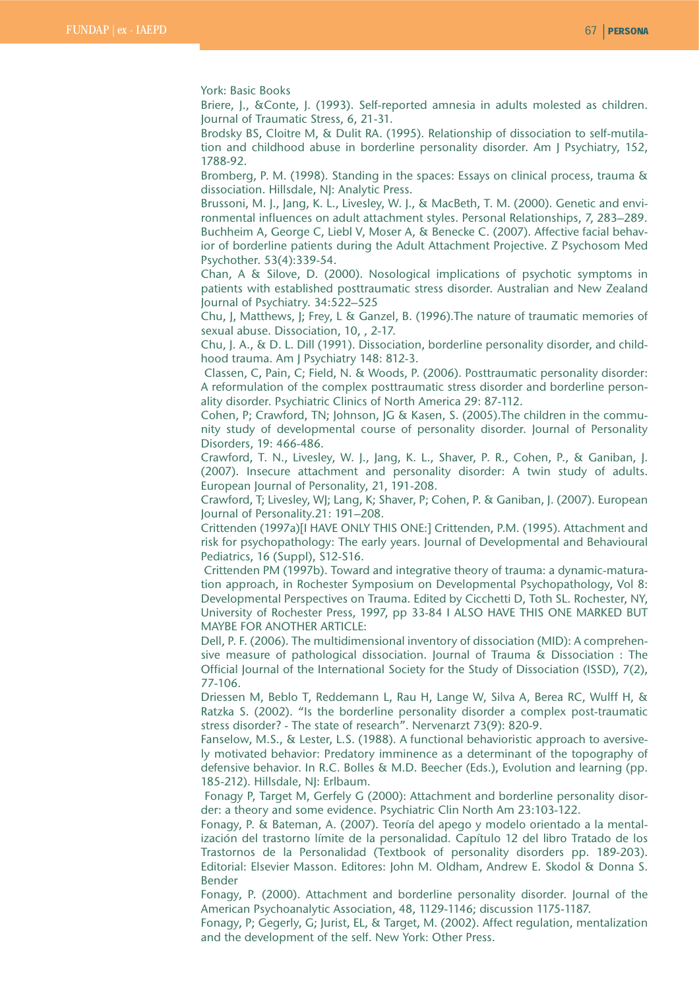York: Basic Books

Briere, J., &Conte, J. (1993). Self-reported amnesia in adults molested as children. Journal of Traumatic Stress, 6, 21-31.

Brodsky BS, Cloitre M, & Dulit RA. (1995). Relationship of dissociation to self-mutilation and childhood abuse in borderline personality disorder. Am J Psychiatry, 152, 1788-92.

Bromberg, P. M. (1998). Standing in the spaces: Essays on clinical process, trauma & dissociation. Hillsdale, NJ: Analytic Press.

Brussoni, M. J., Jang, K. L., Livesley, W. J., & MacBeth, T. M. (2000). Genetic and environmental influences on adult attachment styles. Personal Relationships, 7, 283–289. Buchheim A, George C, Liebl V, Moser A, & Benecke C. (2007). Affective facial behavior of borderline patients during the Adult Attachment Projective. Z Psychosom Med Psychother. 53(4):339-54.

Chan, A & Silove, D. (2000). Nosological implications of psychotic symptoms in patients with established posttraumatic stress disorder. Australian and New Zealand Journal of Psychiatry. 34:522–525

Chu, J, Matthews, J; Frey, L & Ganzel, B. (1996).The nature of traumatic memories of sexual abuse. Dissociation, 10, , 2-17.

Chu, J. A., & D. L. Dill (1991). Dissociation, borderline personality disorder, and childhood trauma. Am J Psychiatry 148: 812-3.

Classen, C, Pain, C; Field, N. & Woods, P. (2006). Posttraumatic personality disorder: A reformulation of the complex posttraumatic stress disorder and borderline personality disorder. Psychiatric Clinics of North America 29: 87-112.

Cohen, P; Crawford, TN; Johnson, JG & Kasen, S. (2005).The children in the community study of developmental course of personality disorder. Journal of Personality Disorders, 19: 466-486.

Crawford, T. N., Livesley, W. J., Jang, K. L., Shaver, P. R., Cohen, P., & Ganiban, J. (2007). Insecure attachment and personality disorder: A twin study of adults. European Journal of Personality, 21, 191-208.

Crawford, T; Livesley, WJ; Lang, K; Shaver, P; Cohen, P. & Ganiban, J. (2007). European Journal of Personality.21: 191–208.

Crittenden (1997a)[I HAVE ONLY THIS ONE:] Crittenden, P.M. (1995). Attachment and risk for psychopathology: The early years. Journal of Developmental and Behavioural Pediatrics, 16 (Suppl), S12-S16.

Crittenden PM (1997b). Toward and integrative theory of trauma: a dynamic-maturation approach, in Rochester Symposium on Developmental Psychopathology, Vol 8: Developmental Perspectives on Trauma. Edited by Cicchetti D, Toth SL. Rochester, NY, University of Rochester Press, 1997, pp 33-84 I ALSO HAVE THIS ONE MARKED BUT MAYBE FOR ANOTHER ARTICLE:

Dell, P. F. (2006). The multidimensional inventory of dissociation (MID): A comprehensive measure of pathological dissociation. Journal of Trauma & Dissociation : The Official Journal of the International Society for the Study of Dissociation (ISSD), 7(2), 77-106.

Driessen M, Beblo T, Reddemann L, Rau H, Lange W, Silva A, Berea RC, Wulff H, & Ratzka S. (2002). "Is the borderline personality disorder a complex post-traumatic stress disorder? - The state of research". Nervenarzt 73(9): 820-9.

Fanselow, M.S., & Lester, L.S. (1988). A functional behavioristic approach to aversively motivated behavior: Predatory imminence as a determinant of the topography of defensive behavior. In R.C. Bolles & M.D. Beecher (Eds.), Evolution and learning (pp. 185-212). Hillsdale, NJ: Erlbaum.

Fonagy P, Target M, Gerfely G (2000): Attachment and borderline personality disorder: a theory and some evidence. Psychiatric Clin North Am 23:103-122.

Fonagy, P. & Bateman, A. (2007). Teoría del apego y modelo orientado a la mentalización del trastorno límite de la personalidad. Capítulo 12 del libro Tratado de los Trastornos de la Personalidad (Textbook of personality disorders pp. 189-203). Editorial: Elsevier Masson. Editores: John M. Oldham, Andrew E. Skodol & Donna S. Bender

Fonagy, P. (2000). Attachment and borderline personality disorder. Journal of the American Psychoanalytic Association, 48, 1129-1146; discussion 1175-1187.

Fonagy, P; Gegerly, G; Jurist, EL, & Target, M. (2002). Affect regulation, mentalization and the development of the self. New York: Other Press.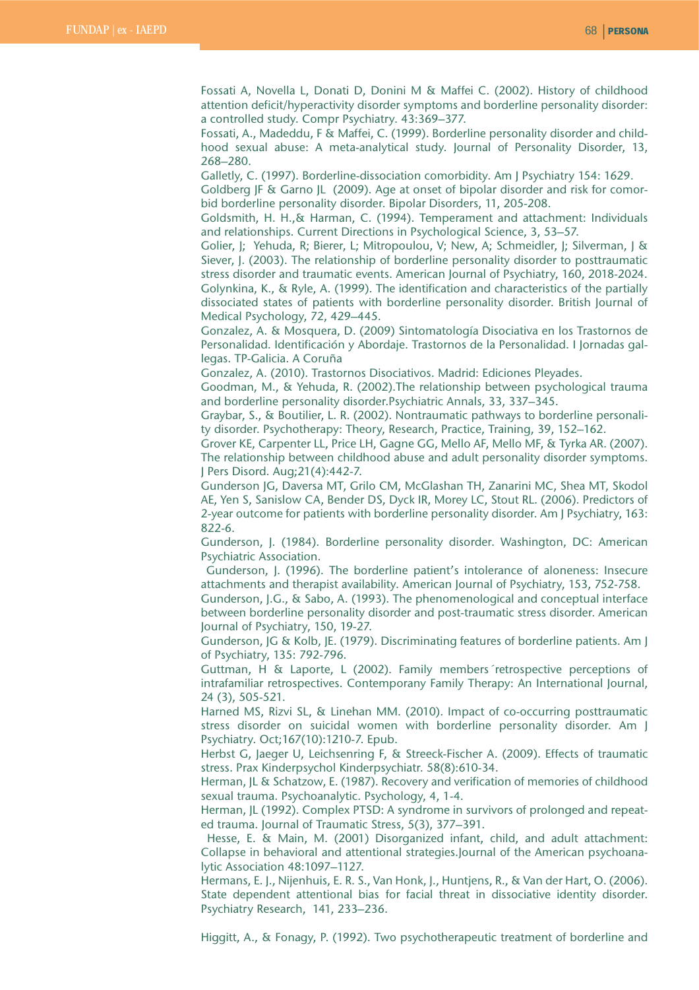Fossati A, Novella L, Donati D, Donini M & Maffei C. (2002). History of childhood attention deficit/hyperactivity disorder symptoms and borderline personality disorder: a controlled study. Compr Psychiatry. 43:369–377.

Fossati, A., Madeddu, F & Maffei, C. (1999). Borderline personality disorder and childhood sexual abuse: A meta-analytical study. Journal of Personality Disorder, 13, 268–280.

Galletly, C. (1997). Borderline-dissociation comorbidity. Am J Psychiatry 154: 1629.

Goldberg JF & Garno JL (2009). Age at onset of bipolar disorder and risk for comorbid borderline personality disorder. Bipolar Disorders, 11, 205-208.

Goldsmith, H. H.,& Harman, C. (1994). Temperament and attachment: Individuals and relationships. Current Directions in Psychological Science, 3, 53–57.

Golier, J; Yehuda, R; Bierer, L; Mitropoulou, V; New, A; Schmeidler, J; Silverman, J & Siever, J. (2003). The relationship of borderline personality disorder to posttraumatic stress disorder and traumatic events. American Journal of Psychiatry, 160, 2018-2024. Golynkina, K., & Ryle, A. (1999). The identification and characteristics of the partially dissociated states of patients with borderline personality disorder. British Journal of Medical Psychology, 72, 429–445.

Gonzalez, A. & Mosquera, D. (2009) Sintomatología Disociativa en los Trastornos de Personalidad. Identificación y Abordaje. Trastornos de la Personalidad. I Jornadas gallegas. TP-Galicia. A Coruña

Gonzalez, A. (2010). Trastornos Disociativos. Madrid: Ediciones Pleyades.

Goodman, M., & Yehuda, R. (2002).The relationship between psychological trauma and borderline personality disorder.Psychiatric Annals, 33, 337–345.

Graybar, S., & Boutilier, L. R. (2002). Nontraumatic pathways to borderline personality disorder. Psychotherapy: Theory, Research, Practice, Training, 39, 152–162.

Grover KE, Carpenter LL, Price LH, Gagne GG, Mello AF, Mello MF, & Tyrka AR. (2007). The relationship between childhood abuse and adult personality disorder symptoms. J Pers Disord. Aug;21(4):442-7.

Gunderson JG, Daversa MT, Grilo CM, McGlashan TH, Zanarini MC, Shea MT, Skodol AE, Yen S, Sanislow CA, Bender DS, Dyck IR, Morey LC, Stout RL. (2006). Predictors of 2-year outcome for patients with borderline personality disorder. Am J Psychiatry, 163: 822-6.

Gunderson, J. (1984). Borderline personality disorder. Washington, DC: American Psychiatric Association.

Gunderson, J. (1996). The borderline patient's intolerance of aloneness: Insecure attachments and therapist availability. American Journal of Psychiatry, 153, 752-758.

Gunderson, J.G., & Sabo, A. (1993). The phenomenological and conceptual interface between borderline personality disorder and post-traumatic stress disorder. American Journal of Psychiatry, 150, 19-27.

Gunderson, JG & Kolb, JE. (1979). Discriminating features of borderline patients. Am J of Psychiatry, 135: 792-796.

Guttman, H & Laporte, L (2002). Family members´retrospective perceptions of intrafamiliar retrospectives. Contemporany Family Therapy: An International Journal, 24 (3), 505-521.

Harned MS, Rizvi SL, & Linehan MM. (2010). Impact of co-occurring posttraumatic stress disorder on suicidal women with borderline personality disorder. Am J Psychiatry. Oct;167(10):1210-7. Epub.

Herbst G, Jaeger U, Leichsenring F, & Streeck-Fischer A. (2009). Effects of traumatic stress. Prax Kinderpsychol Kinderpsychiatr. 58(8):610-34.

Herman, JL & Schatzow, E. (1987). Recovery and verification of memories of childhood sexual trauma. Psychoanalytic. Psychology, 4, 1-4.

Herman, JL (1992). Complex PTSD: A syndrome in survivors of prolonged and repeated trauma. Journal of Traumatic Stress, 5(3), 377–391.

Hesse, E. & Main, M. (2001) Disorganized infant, child, and adult attachment: Collapse in behavioral and attentional strategies.Journal of the American psychoanalytic Association 48:1097–1127.

Hermans, E. J., Nijenhuis, E. R. S., Van Honk, J., Huntjens, R., & Van der Hart, O. (2006). State dependent attentional bias for facial threat in dissociative identity disorder. Psychiatry Research, 141, 233–236.

Higgitt, A., & Fonagy, P. (1992). Two psychotherapeutic treatment of borderline and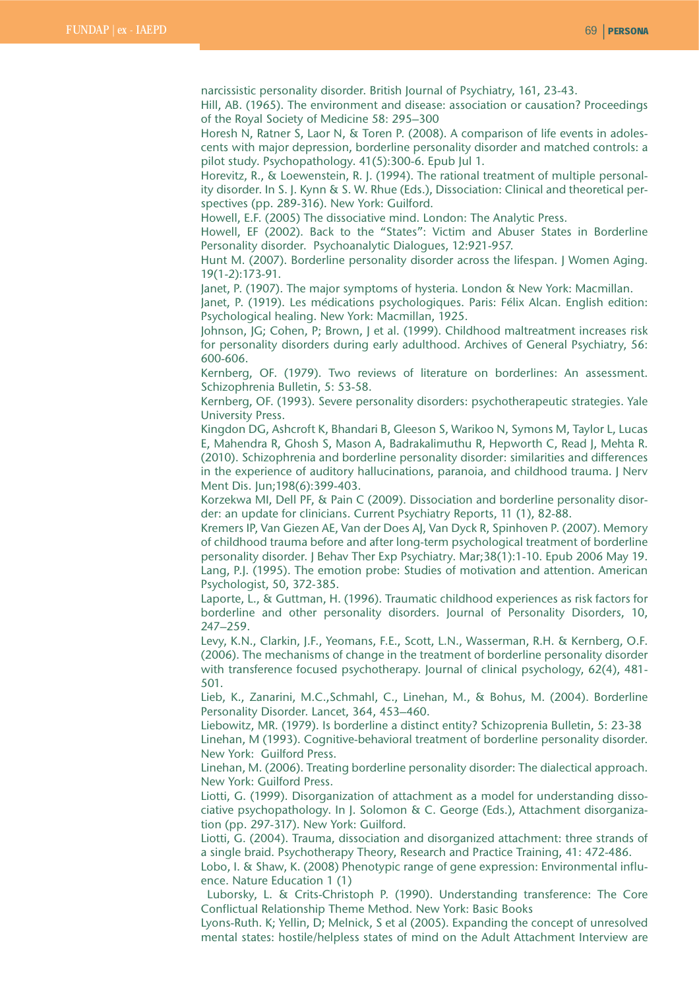narcissistic personality disorder. British Journal of Psychiatry, 161, 23-43.

Hill, AB. (1965). The environment and disease: association or causation? Proceedings of the Royal Society of Medicine 58: 295–300

Horesh N, Ratner S, Laor N, & Toren P. (2008). A comparison of life events in adolescents with major depression, borderline personality disorder and matched controls: a pilot study. Psychopathology. 41(5):300-6. Epub Jul 1.

Horevitz, R., & Loewenstein, R. J. (1994). The rational treatment of multiple personality disorder. In S. J. Kynn & S. W. Rhue (Eds.), Dissociation: Clinical and theoretical perspectives (pp. 289-316). New York: Guilford.

Howell, E.F. (2005) The dissociative mind. London: The Analytic Press.

Howell, EF (2002). Back to the "States": Victim and Abuser States in Borderline Personality disorder. Psychoanalytic Dialogues, 12:921-957.

Hunt M. (2007). Borderline personality disorder across the lifespan. J Women Aging. 19(1-2):173-91.

Janet, P. (1907). The major symptoms of hysteria. London & New York: Macmillan.

Janet, P. (1919). Les médications psychologiques. Paris: Félix Alcan. English edition: Psychological healing. New York: Macmillan, 1925.

Johnson, JG; Cohen, P; Brown, J et al. (1999). Childhood maltreatment increases risk for personality disorders during early adulthood. Archives of General Psychiatry, 56: 600-606.

Kernberg, OF. (1979). Two reviews of literature on borderlines: An assessment. Schizophrenia Bulletin, 5: 53-58.

Kernberg, OF. (1993). Severe personality disorders: psychotherapeutic strategies. Yale University Press.

Kingdon DG, Ashcroft K, Bhandari B, Gleeson S, Warikoo N, Symons M, Taylor L, Lucas E, Mahendra R, Ghosh S, Mason A, Badrakalimuthu R, Hepworth C, Read J, Mehta R. (2010). Schizophrenia and borderline personality disorder: similarities and differences in the experience of auditory hallucinations, paranoia, and childhood trauma. J Nerv Ment Dis. Jun;198(6):399-403.

Korzekwa MI, Dell PF, & Pain C (2009). Dissociation and borderline personality disorder: an update for clinicians. Current Psychiatry Reports, 11 (1), 82-88.

Kremers IP, Van Giezen AE, Van der Does AJ, Van Dyck R, Spinhoven P. (2007). Memory of childhood trauma before and after long-term psychological treatment of borderline personality disorder. J Behav Ther Exp Psychiatry. Mar;38(1):1-10. Epub 2006 May 19. Lang, P.J. (1995). The emotion probe: Studies of motivation and attention. American Psychologist, 50, 372-385.

Laporte, L., & Guttman, H. (1996). Traumatic childhood experiences as risk factors for borderline and other personality disorders. Journal of Personality Disorders, 10, 247–259.

Levy, K.N., Clarkin, J.F., Yeomans, F.E., Scott, L.N., Wasserman, R.H. & Kernberg, O.F. (2006). The mechanisms of change in the treatment of borderline personality disorder with transference focused psychotherapy. Journal of clinical psychology, 62(4), 481- 501.

Lieb, K., Zanarini, M.C.,Schmahl, C., Linehan, M., & Bohus, M. (2004). Borderline Personality Disorder. Lancet, 364, 453–460.

Liebowitz, MR. (1979). Is borderline a distinct entity? Schizoprenia Bulletin, 5: 23-38 Linehan, M (1993). Cognitive-behavioral treatment of borderline personality disorder. New York: Guilford Press.

Linehan, M. (2006). Treating borderline personality disorder: The dialectical approach. New York: Guilford Press.

Liotti, G. (1999). Disorganization of attachment as a model for understanding dissociative psychopathology. In J. Solomon & C. George (Eds.), Attachment disorganization (pp. 297-317). New York: Guilford.

Liotti, G. (2004). Trauma, dissociation and disorganized attachment: three strands of a single braid. Psychotherapy Theory, Research and Practice Training, 41: 472-486.

Lobo, I. & Shaw, K. (2008) Phenotypic range of gene expression: Environmental influence. Nature Education 1 (1)

Luborsky, L. & Crits-Christoph P. (1990). Understanding transference: The Core Conflictual Relationship Theme Method. New York: Basic Books

Lyons-Ruth. K; Yellin, D; Melnick, S et al (2005). Expanding the concept of unresolved mental states: hostile/helpless states of mind on the Adult Attachment Interview are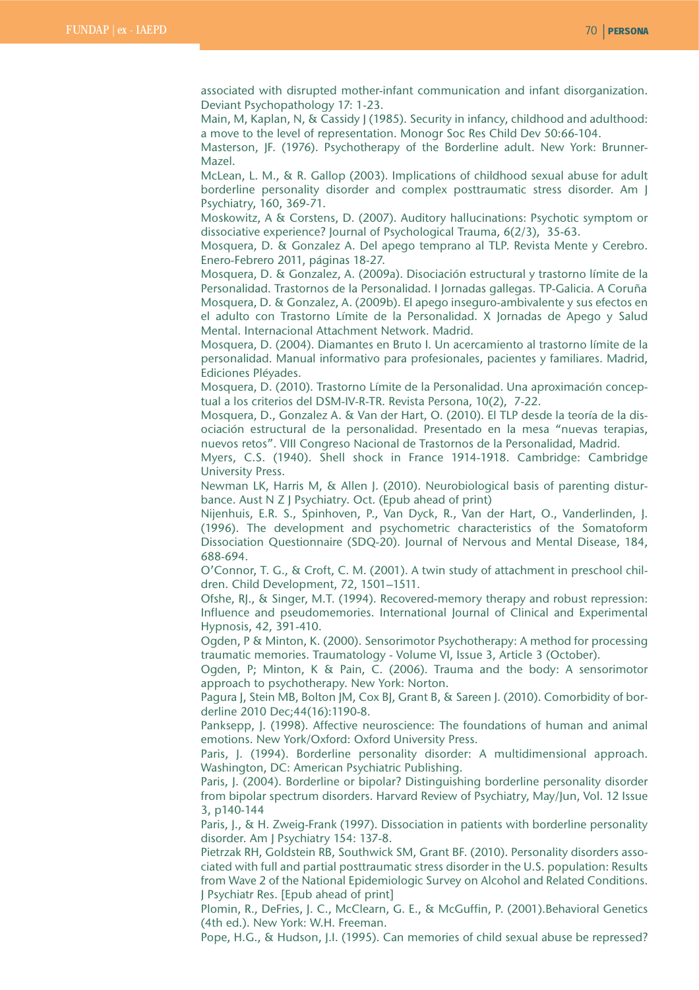associated with disrupted mother-infant communication and infant disorganization. Deviant Psychopathology 17: 1-23.

Main, M, Kaplan, N, & Cassidy J (1985). Security in infancy, childhood and adulthood: a move to the level of representation. Monogr Soc Res Child Dev 50:66-104.

Masterson, JF. (1976). Psychotherapy of the Borderline adult. New York: Brunner-Mazel.

McLean, L. M., & R. Gallop (2003). Implications of childhood sexual abuse for adult borderline personality disorder and complex posttraumatic stress disorder. Am J Psychiatry, 160, 369-71.

Moskowitz, A & Corstens, D. (2007). Auditory hallucinations: Psychotic symptom or dissociative experience? Journal of Psychological Trauma, 6(2/3), 35-63.

Mosquera, D. & Gonzalez A. Del apego temprano al TLP. Revista Mente y Cerebro. Enero-Febrero 2011, páginas 18-27.

Mosquera, D. & Gonzalez, A. (2009a). Disociación estructural y trastorno límite de la Personalidad. Trastornos de la Personalidad. I Jornadas gallegas. TP-Galicia. A Coruña Mosquera, D. & Gonzalez, A. (2009b). El apego inseguro-ambivalente y sus efectos en el adulto con Trastorno Límite de la Personalidad. X Jornadas de Apego y Salud Mental. Internacional Attachment Network. Madrid.

Mosquera, D. (2004). Diamantes en Bruto I. Un acercamiento al trastorno límite de la personalidad. Manual informativo para profesionales, pacientes y familiares. Madrid, Ediciones Pléyades.

Mosquera, D. (2010). Trastorno Límite de la Personalidad. Una aproximación conceptual a los criterios del DSM-IV-R-TR. Revista Persona, 10(2), 7-22.

Mosquera, D., Gonzalez A. & Van der Hart, O. (2010). El TLP desde la teoría de la disociación estructural de la personalidad. Presentado en la mesa "nuevas terapias, nuevos retos". VIII Congreso Nacional de Trastornos de la Personalidad, Madrid.

Myers, C.S. (1940). Shell shock in France 1914-1918. Cambridge: Cambridge University Press.

Newman LK, Harris M, & Allen J. (2010). Neurobiological basis of parenting disturbance. Aust N Z J Psychiatry. Oct. (Epub ahead of print)

Nijenhuis, E.R. S., Spinhoven, P., Van Dyck, R., Van der Hart, O., Vanderlinden, J. (1996). The development and psychometric characteristics of the Somatoform Dissociation Questionnaire (SDQ-20). Journal of Nervous and Mental Disease, 184, 688-694.

O'Connor, T. G., & Croft, C. M. (2001). A twin study of attachment in preschool children. Child Development, 72, 1501–1511.

Ofshe, RJ., & Singer, M.T. (1994). Recovered-memory therapy and robust repression: Influence and pseudomemories. International Journal of Clinical and Experimental Hypnosis, 42, 391-410.

Ogden, P & Minton, K. (2000). Sensorimotor Psychotherapy: A method for processing traumatic memories. Traumatology - Volume VI, Issue 3, Article 3 (October).

Ogden, P; Minton, K & Pain, C. (2006). Trauma and the body: A sensorimotor approach to psychotherapy. New York: Norton.

Pagura J, Stein MB, Bolton JM, Cox BJ, Grant B, & Sareen J. (2010). Comorbidity of borderline 2010 Dec;44(16):1190-8.

Panksepp, J. (1998). Affective neuroscience: The foundations of human and animal emotions. New York/Oxford: Oxford University Press.

Paris, J. (1994). Borderline personality disorder: A multidimensional approach. Washington, DC: American Psychiatric Publishing.

Paris, J. (2004). Borderline or bipolar? Distinguishing borderline personality disorder from bipolar spectrum disorders. Harvard Review of Psychiatry, May/Jun, Vol. 12 Issue 3, p140-144

Paris, J., & H. Zweig-Frank (1997). Dissociation in patients with borderline personality disorder. Am J Psychiatry 154: 137-8.

Pietrzak RH, Goldstein RB, Southwick SM, Grant BF. (2010). Personality disorders associated with full and partial posttraumatic stress disorder in the U.S. population: Results from Wave 2 of the National Epidemiologic Survey on Alcohol and Related Conditions. J Psychiatr Res. [Epub ahead of print]

Plomin, R., DeFries, J. C., McClearn, G. E., & McGuffin, P. (2001).Behavioral Genetics (4th ed.). New York: W.H. Freeman.

Pope, H.G., & Hudson, J.I. (1995). Can memories of child sexual abuse be repressed?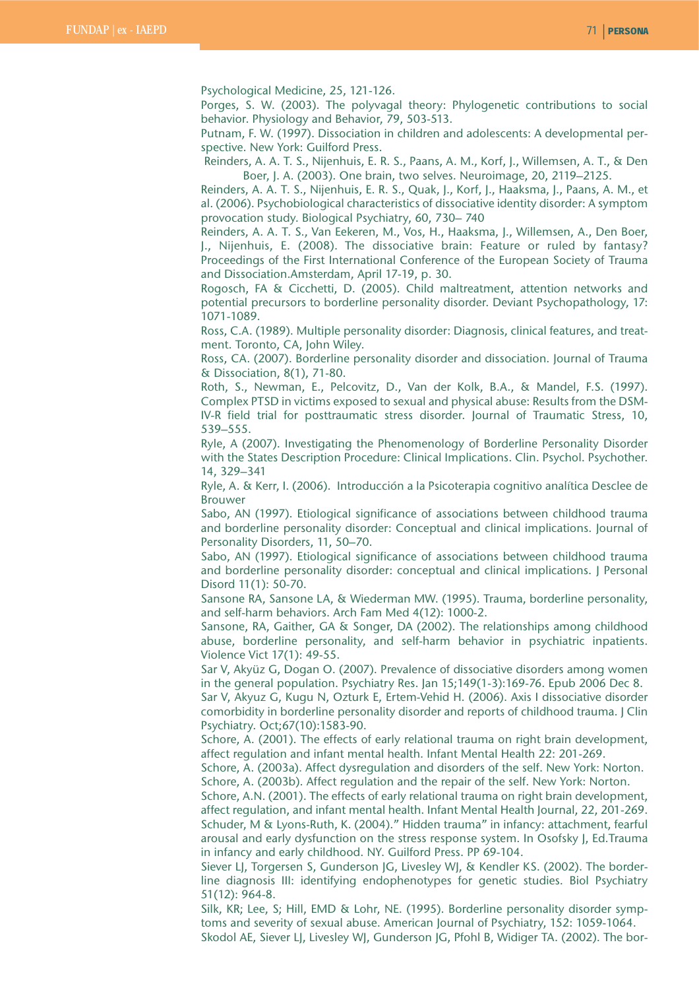Psychological Medicine, 25, 121-126.

Porges, S. W. (2003). The polyvagal theory: Phylogenetic contributions to social behavior. Physiology and Behavior, 79, 503-513.

Putnam, F. W. (1997). Dissociation in children and adolescents: A developmental perspective. New York: Guilford Press.

Reinders, A. A. T. S., Nijenhuis, E. R. S., Paans, A. M., Korf, J., Willemsen, A. T., & Den Boer, J. A. (2003). One brain, two selves. Neuroimage, 20, 2119–2125.

Reinders, A. A. T. S., Nijenhuis, E. R. S., Quak, J., Korf, J., Haaksma, J., Paans, A. M., et al. (2006). Psychobiological characteristics of dissociative identity disorder: A symptom provocation study. Biological Psychiatry, 60, 730– 740

Reinders, A. A. T. S., Van Eekeren, M., Vos, H., Haaksma, J., Willemsen, A., Den Boer, J., Nijenhuis, E. (2008). The dissociative brain: Feature or ruled by fantasy? Proceedings of the First International Conference of the European Society of Trauma and Dissociation.Amsterdam, April 17-19, p. 30.

Rogosch, FA & Cicchetti, D. (2005). Child maltreatment, attention networks and potential precursors to borderline personality disorder. Deviant Psychopathology, 17: 1071-1089.

Ross, C.A. (1989). Multiple personality disorder: Diagnosis, clinical features, and treatment. Toronto, CA, John Wiley.

Ross, CA. (2007). Borderline personality disorder and dissociation. Journal of Trauma & Dissociation, 8(1), 71-80.

Roth, S., Newman, E., Pelcovitz, D., Van der Kolk, B.A., & Mandel, F.S. (1997). Complex PTSD in victims exposed to sexual and physical abuse: Results from the DSM-IV-R field trial for posttraumatic stress disorder. Journal of Traumatic Stress, 10, 539–555.

Ryle, A (2007). Investigating the Phenomenology of Borderline Personality Disorder with the States Description Procedure: Clinical Implications. Clin. Psychol. Psychother. 14, 329–341

Ryle, A. & Kerr, I. (2006). Introducción a la Psicoterapia cognitivo analítica Desclee de Brouwer

Sabo, AN (1997). Etiological significance of associations between childhood trauma and borderline personality disorder: Conceptual and clinical implications. Journal of Personality Disorders, 11, 50–70.

Sabo, AN (1997). Etiological significance of associations between childhood trauma and borderline personality disorder: conceptual and clinical implications. J Personal Disord 11(1): 50-70.

Sansone RA, Sansone LA, & Wiederman MW. (1995). Trauma, borderline personality, and self-harm behaviors. Arch Fam Med 4(12): 1000-2.

Sansone, RA, Gaither, GA & Songer, DA (2002). The relationships among childhood abuse, borderline personality, and self-harm behavior in psychiatric inpatients. Violence Vict 17(1): 49-55.

Sar V, Akyüz G, Dogan O. (2007). Prevalence of dissociative disorders among women in the general population. Psychiatry Res. Jan 15;149(1-3):169-76. Epub 2006 Dec 8. Sar V, Akyuz G, Kugu N, Ozturk E, Ertem-Vehid H. (2006). Axis I dissociative disorder comorbidity in borderline personality disorder and reports of childhood trauma. J Clin Psychiatry. Oct;67(10):1583-90.

Schore, A. (2001). The effects of early relational trauma on right brain development, affect regulation and infant mental health. Infant Mental Health 22: 201-269.

Schore, A. (2003a). Affect dysregulation and disorders of the self. New York: Norton. Schore, A. (2003b). Affect regulation and the repair of the self. New York: Norton.

Schore, A.N. (2001). The effects of early relational trauma on right brain development, affect regulation, and infant mental health. Infant Mental Health Journal, 22, 201-269. Schuder, M & Lyons-Ruth, K. (2004)." Hidden trauma" in infancy: attachment, fearful arousal and early dysfunction on the stress response system. In Osofsky J, Ed.Trauma in infancy and early childhood. NY. Guilford Press. PP 69-104.

Siever LJ, Torgersen S, Gunderson JG, Livesley WJ, & Kendler KS. (2002). The borderline diagnosis III: identifying endophenotypes for genetic studies. Biol Psychiatry 51(12): 964-8.

Silk, KR; Lee, S; Hill, EMD & Lohr, NE. (1995). Borderline personality disorder symptoms and severity of sexual abuse. American Journal of Psychiatry, 152: 1059-1064. Skodol AE, Siever LJ, Livesley WJ, Gunderson JG, Pfohl B, Widiger TA. (2002). The bor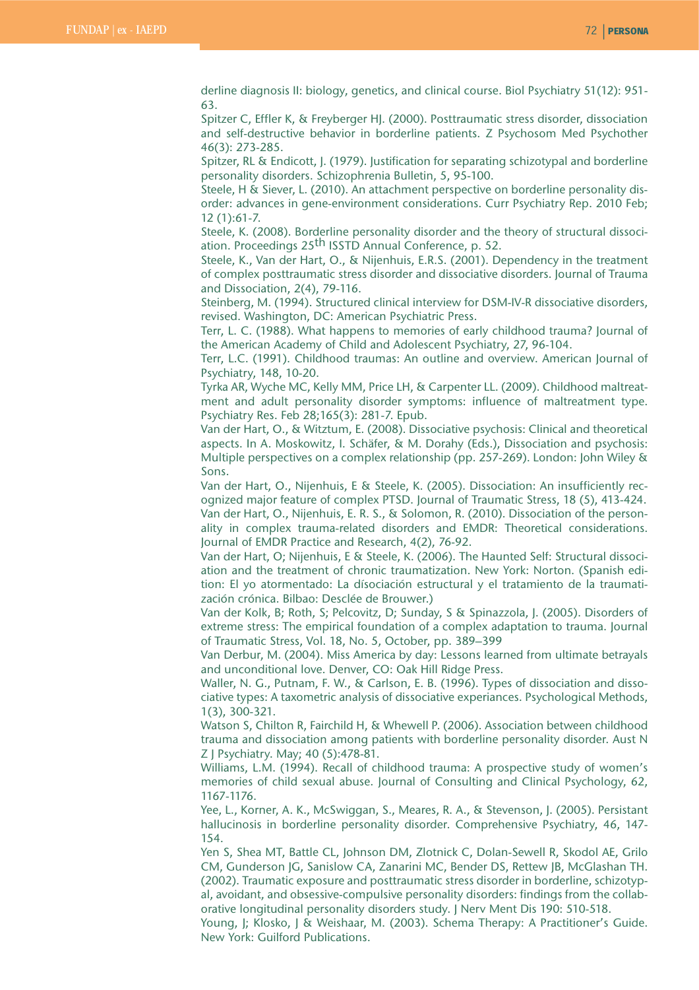derline diagnosis II: biology, genetics, and clinical course. Biol Psychiatry 51(12): 951- 63.

Spitzer C, Effler K, & Freyberger HJ. (2000). Posttraumatic stress disorder, dissociation and self-destructive behavior in borderline patients. Z Psychosom Med Psychother 46(3): 273-285.

Spitzer, RL & Endicott, J. (1979). Justification for separating schizotypal and borderline personality disorders. Schizophrenia Bulletin, 5, 95-100.

Steele, H & Siever, L. (2010). An attachment perspective on borderline personality disorder: advances in gene-environment considerations. Curr Psychiatry Rep. 2010 Feb; 12 (1):61-7.

Steele, K. (2008). Borderline personality disorder and the theory of structural dissociation. Proceedings 25<sup>th</sup> ISSTD Annual Conference, p. 52.

Steele, K., Van der Hart, O., & Nijenhuis, E.R.S. (2001). Dependency in the treatment of complex posttraumatic stress disorder and dissociative disorders. Journal of Trauma and Dissociation, 2(4), 79-116.

Steinberg, M. (1994). Structured clinical interview for DSM-IV-R dissociative disorders, revised. Washington, DC: American Psychiatric Press.

Terr, L. C. (1988). What happens to memories of early childhood trauma? Journal of the American Academy of Child and Adolescent Psychiatry, 27, 96-104.

Terr, L.C. (1991). Childhood traumas: An outline and overview. American Journal of Psychiatry, 148, 10-20.

Tyrka AR, Wyche MC, Kelly MM, Price LH, & Carpenter LL. (2009). Childhood maltreatment and adult personality disorder symptoms: influence of maltreatment type. Psychiatry Res. Feb 28;165(3): 281-7. Epub.

Van der Hart, O., & Witztum, E. (2008). Dissociative psychosis: Clinical and theoretical aspects. In A. Moskowitz, I. Schäfer, & M. Dorahy (Eds.), Dissociation and psychosis: Multiple perspectives on a complex relationship (pp. 257-269). London: John Wiley & Sons.

Van der Hart, O., Nijenhuis, E & Steele, K. (2005). Dissociation: An insufficiently recognized major feature of complex PTSD. Journal of Traumatic Stress, 18 (5), 413-424. Van der Hart, O., Nijenhuis, E. R. S., & Solomon, R. (2010). Dissociation of the personality in complex trauma-related disorders and EMDR: Theoretical considerations. Journal of EMDR Practice and Research, 4(2), 76-92.

Van der Hart, O; Nijenhuis, E & Steele, K. (2006). The Haunted Self: Structural dissociation and the treatment of chronic traumatization. New York: Norton. (Spanish edition: El yo atormentado: La dísociación estructural y el tratamiento de la traumatización crónica. Bilbao: Desclée de Brouwer.)

Van der Kolk, B; Roth, S; Pelcovitz, D; Sunday, S & Spinazzola, J. (2005). Disorders of extreme stress: The empirical foundation of a complex adaptation to trauma. Journal of Traumatic Stress, Vol. 18, No. 5, October, pp. 389–399

Van Derbur, M. (2004). Miss America by day: Lessons learned from ultimate betrayals and unconditional love. Denver, CO: Oak Hill Ridge Press.

Waller, N. G., Putnam, F. W., & Carlson, E. B. (1996). Types of dissociation and dissociative types: A taxometric analysis of dissociative experiances. Psychological Methods, 1(3), 300-321.

Watson S, Chilton R, Fairchild H, & Whewell P. (2006). Association between childhood trauma and dissociation among patients with borderline personality disorder. Aust N Z J Psychiatry. May; 40 (5):478-81.

Williams, L.M. (1994). Recall of childhood trauma: A prospective study of women's memories of child sexual abuse. Journal of Consulting and Clinical Psychology, 62, 1167-1176.

Yee, L., Korner, A. K., McSwiggan, S., Meares, R. A., & Stevenson, J. (2005). Persistant hallucinosis in borderline personality disorder. Comprehensive Psychiatry, 46, 147- 154.

Yen S, Shea MT, Battle CL, Johnson DM, Zlotnick C, Dolan-Sewell R, Skodol AE, Grilo CM, Gunderson JG, Sanislow CA, Zanarini MC, Bender DS, Rettew JB, McGlashan TH. (2002). Traumatic exposure and posttraumatic stress disorder in borderline, schizotypal, avoidant, and obsessive-compulsive personality disorders: findings from the collaborative longitudinal personality disorders study. J Nerv Ment Dis 190: 510-518.

Young, J; Klosko, J & Weishaar, M. (2003). Schema Therapy: A Practitioner's Guide. New York: Guilford Publications.